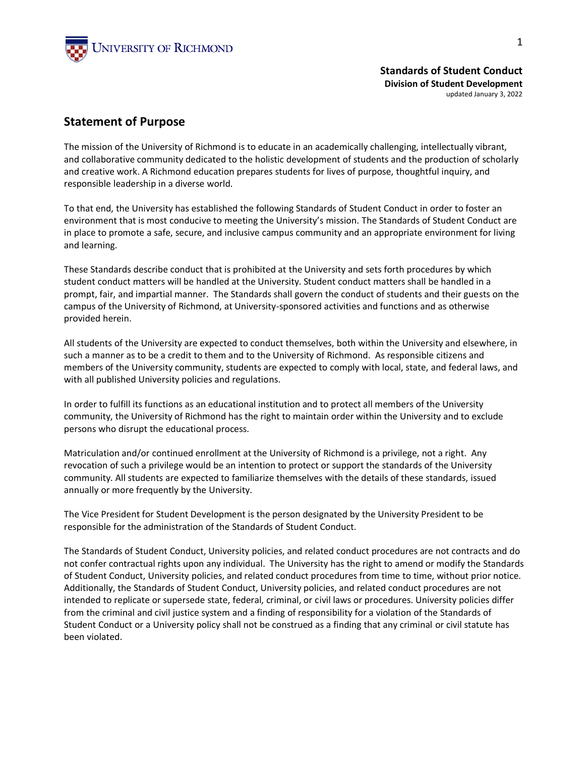

**Standards of Student Conduct Division of Student Development** updated January 3, 2022

## **Statement of Purpose**

The mission of the University of Richmond is to educate in an academically challenging, intellectually vibrant, and collaborative community dedicated to the holistic development of students and the production of scholarly and creative work. A Richmond education prepares students for lives of purpose, thoughtful inquiry, and responsible leadership in a diverse world.

To that end, the University has established the following Standards of Student Conduct in order to foster an environment that is most conducive to meeting the University's mission. The Standards of Student Conduct are in place to promote a safe, secure, and inclusive campus community and an appropriate environment for living and learning.

These Standards describe conduct that is prohibited at the University and sets forth procedures by which student conduct matters will be handled at the University. Student conduct matters shall be handled in a prompt, fair, and impartial manner. The Standards shall govern the conduct of students and their guests on the campus of the University of Richmond, at University-sponsored activities and functions and as otherwise provided herein.

All students of the University are expected to conduct themselves, both within the University and elsewhere, in such a manner as to be a credit to them and to the University of Richmond. As responsible citizens and members of the University community, students are expected to comply with local, state, and federal laws, and with all published University policies and regulations.

In order to fulfill its functions as an educational institution and to protect all members of the University community, the University of Richmond has the right to maintain order within the University and to exclude persons who disrupt the educational process.

Matriculation and/or continued enrollment at the University of Richmond is a privilege, not a right. Any revocation of such a privilege would be an intention to protect or support the standards of the University community. All students are expected to familiarize themselves with the details of these standards, issued annually or more frequently by the University.

The Vice President for Student Development is the person designated by the University President to be responsible for the administration of the Standards of Student Conduct.

The Standards of Student Conduct, University policies, and related conduct procedures are not contracts and do not confer contractual rights upon any individual. The University has the right to amend or modify the Standards of Student Conduct, University policies, and related conduct procedures from time to time, without prior notice. Additionally, the Standards of Student Conduct, University policies, and related conduct procedures are not intended to replicate or supersede state, federal, criminal, or civil laws or procedures. University policies differ from the criminal and civil justice system and a finding of responsibility for a violation of the Standards of Student Conduct or a University policy shall not be construed as a finding that any criminal or civil statute has been violated.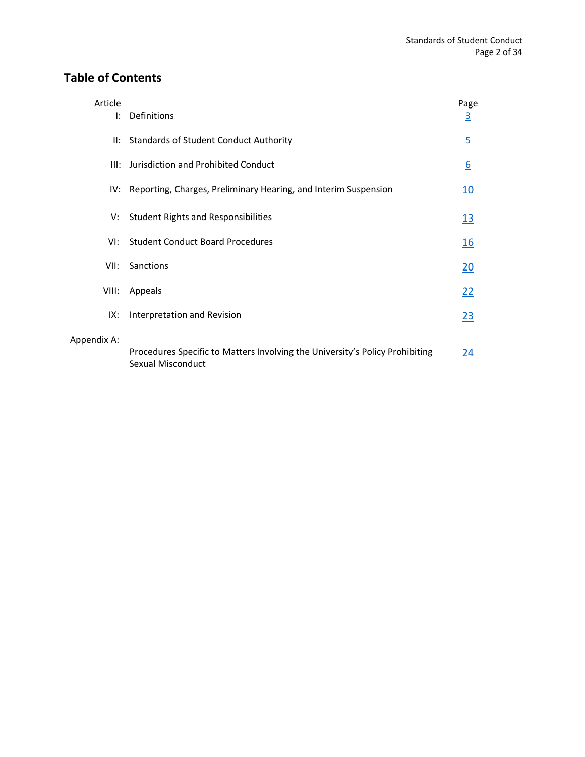# <span id="page-1-1"></span>**Table of Contents**

<span id="page-1-0"></span>

| Article<br>Ŀ. | Definitions                                                                                       | Page<br>$\overline{3}$ |
|---------------|---------------------------------------------------------------------------------------------------|------------------------|
| II:           | <b>Standards of Student Conduct Authority</b>                                                     | $\overline{5}$         |
| III:          | Jurisdiction and Prohibited Conduct                                                               | $\underline{6}$        |
|               | IV: Reporting, Charges, Preliminary Hearing, and Interim Suspension                               | <u>10</u>              |
| V:            | <b>Student Rights and Responsibilities</b>                                                        | <u>13</u>              |
| VI:           | <b>Student Conduct Board Procedures</b>                                                           | <u>16</u>              |
| VII:          | Sanctions                                                                                         | <u>20</u>              |
| VIII:         | Appeals                                                                                           | 22                     |
| IX:           | Interpretation and Revision                                                                       | 23                     |
| Appendix A:   | Procedures Specific to Matters Involving the University's Policy Prohibiting<br>Sexual Misconduct | 24                     |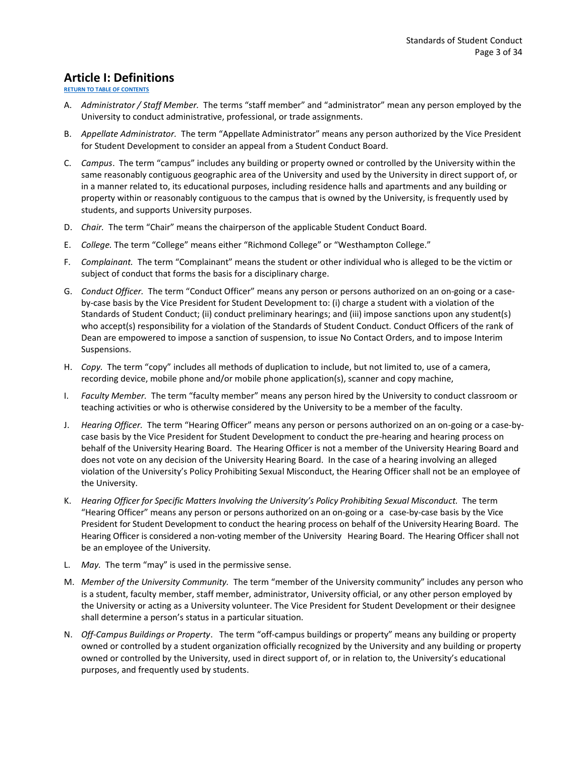### **Article I: Definitions**

**[RETURN TO TABLE OF CONTENTS](#page-1-1)**

- A. *Administrator / Staff Member.* The terms "staff member" and "administrator" mean any person employed by the University to conduct administrative, professional, or trade assignments.
- B. *Appellate Administrator.* The term "Appellate Administrator" means any person authorized by the Vice President for Student Development to consider an appeal from a Student Conduct Board.
- C. *Campus*. The term "campus" includes any building or property owned or controlled by the University within the same reasonably contiguous geographic area of the University and used by the University in direct support of, or in a manner related to, its educational purposes, including residence halls and apartments and any building or property within or reasonably contiguous to the campus that is owned by the University, is frequently used by students, and supports University purposes.
- D. *Chair.* The term "Chair" means the chairperson of the applicable Student Conduct Board.
- E. *College.* The term "College" means either "Richmond College" or "Westhampton College."
- F. *Complainant.* The term "Complainant" means the student or other individual who is alleged to be the victim or subject of conduct that forms the basis for a disciplinary charge.
- G. *Conduct Officer.* The term "Conduct Officer" means any person or persons authorized on an on-going or a caseby-case basis by the Vice President for Student Development to: (i) charge a student with a violation of the Standards of Student Conduct; (ii) conduct preliminary hearings; and (iii) impose sanctions upon any student(s) who accept(s) responsibility for a violation of the Standards of Student Conduct. Conduct Officers of the rank of Dean are empowered to impose a sanction of suspension, to issue No Contact Orders, and to impose Interim Suspensions.
- H. *Copy.* The term "copy" includes all methods of duplication to include, but not limited to, use of a camera, recording device, mobile phone and/or mobile phone application(s), scanner and copy machine,
- I. *Faculty Member.* The term "faculty member" means any person hired by the University to conduct classroom or teaching activities or who is otherwise considered by the University to be a member of the faculty.
- J. *Hearing Officer.* The term "Hearing Officer" means any person or persons authorized on an on-going or a case-bycase basis by the Vice President for Student Development to conduct the pre-hearing and hearing process on behalf of the University Hearing Board. The Hearing Officer is not a member of the University Hearing Board and does not vote on any decision of the University Hearing Board. In the case of a hearing involving an alleged violation of the University's Policy Prohibiting Sexual Misconduct, the Hearing Officer shall not be an employee of the University.
- K. *Hearing Officer for Specific Matters Involving the University's Policy Prohibiting Sexual Misconduct.* The term "Hearing Officer" means any person or persons authorized on an on-going or a case-by-case basis by the Vice President for Student Development to conduct the hearing process on behalf of the University Hearing Board. The Hearing Officer is considered a non-voting member of the University Hearing Board. The Hearing Officer shall not be an employee of the University.
- L. *May.* The term "may" is used in the permissive sense.
- M. *Member of the University Community.* The term "member of the University community" includes any person who is a student, faculty member, staff member, administrator, University official, or any other person employed by the University or acting as a University volunteer. The Vice President for Student Development or their designee shall determine a person's status in a particular situation.
- N. *Off*-*Campus Buildings or Property*. The term "off-campus buildings or property" means any building or property owned or controlled by a student organization officially recognized by the University and any building or property owned or controlled by the University, used in direct support of, or in relation to, the University's educational purposes, and frequently used by students.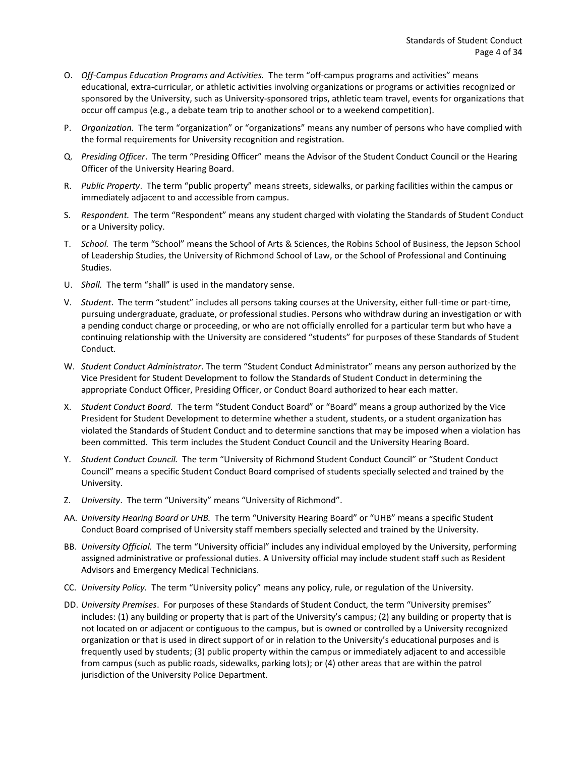- O. *Off-Campus Education Programs and Activities.* The term "off-campus programs and activities" means educational, extra-curricular, or athletic activities involving organizations or programs or activities recognized or sponsored by the University, such as University-sponsored trips, athletic team travel, events for organizations that occur off campus (e.g., a debate team trip to another school or to a weekend competition).
- P. *Organization.* The term "organization" or "organizations" means any number of persons who have complied with the formal requirements for University recognition and registration.
- Q. *Presiding Officer*. The term "Presiding Officer" means the Advisor of the Student Conduct Council or the Hearing Officer of the University Hearing Board.
- R. *Public Property*. The term "public property" means streets, sidewalks, or parking facilities within the campus or immediately adjacent to and accessible from campus.
- S. *Respondent.* The term "Respondent" means any student charged with violating the Standards of Student Conduct or a University policy.
- T. *School.* The term "School" means the School of Arts & Sciences, the Robins School of Business, the Jepson School of Leadership Studies, the University of Richmond School of Law, or the School of Professional and Continuing Studies.
- U. *Shall.* The term "shall" is used in the mandatory sense.
- V. *Student*. The term "student" includes all persons taking courses at the University, either full-time or part-time, pursuing undergraduate, graduate, or professional studies. Persons who withdraw during an investigation or with a pending conduct charge or proceeding, or who are not officially enrolled for a particular term but who have a continuing relationship with the University are considered "students" for purposes of these Standards of Student Conduct.
- W. *Student Conduct Administrator*. The term "Student Conduct Administrator" means any person authorized by the Vice President for Student Development to follow the Standards of Student Conduct in determining the appropriate Conduct Officer, Presiding Officer, or Conduct Board authorized to hear each matter.
- X. *Student Conduct Board.* The term "Student Conduct Board" or "Board" means a group authorized by the Vice President for Student Development to determine whether a student, students, or a student organization has violated the Standards of Student Conduct and to determine sanctions that may be imposed when a violation has been committed. This term includes the Student Conduct Council and the University Hearing Board.
- Y. *Student Conduct Council.* The term "University of Richmond Student Conduct Council" or "Student Conduct Council" means a specific Student Conduct Board comprised of students specially selected and trained by the University.
- Z. *University*. The term "University" means "University of Richmond".
- AA. *University Hearing Board or UHB.* The term "University Hearing Board" or "UHB" means a specific Student Conduct Board comprised of University staff members specially selected and trained by the University.
- BB. *University Official.* The term "University official" includes any individual employed by the University, performing assigned administrative or professional duties. A University official may include student staff such as Resident Advisors and Emergency Medical Technicians.
- CC. *University Policy.* The term "University policy" means any policy, rule, or regulation of the University.
- <span id="page-3-0"></span>DD. *University Premises*. For purposes of these Standards of Student Conduct, the term "University premises" includes: (1) any building or property that is part of the University's campus; (2) any building or property that is not located on or adjacent or contiguous to the campus, but is owned or controlled by a University recognized organization or that is used in direct support of or in relation to the University's educational purposes and is frequently used by students; (3) public property within the campus or immediately adjacent to and accessible from campus (such as public roads, sidewalks, parking lots); or (4) other areas that are within the patrol jurisdiction of the University Police Department.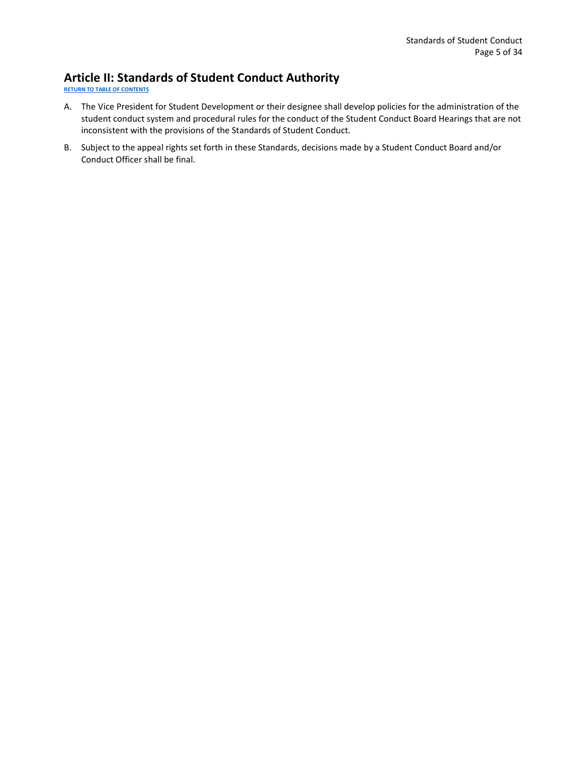# **Article II: Standards of Student Conduct Authority**

**[RETURN TO TABLE OF CONTENTS](#page-1-1)**

- A. The Vice President for Student Development or their designee shall develop policies for the administration of the student conduct system and procedural rules for the conduct of the Student Conduct Board Hearings that are not inconsistent with the provisions of the Standards of Student Conduct.
- <span id="page-4-0"></span>B. Subject to the appeal rights set forth in these Standards, decisions made by a Student Conduct Board and/or Conduct Officer shall be final.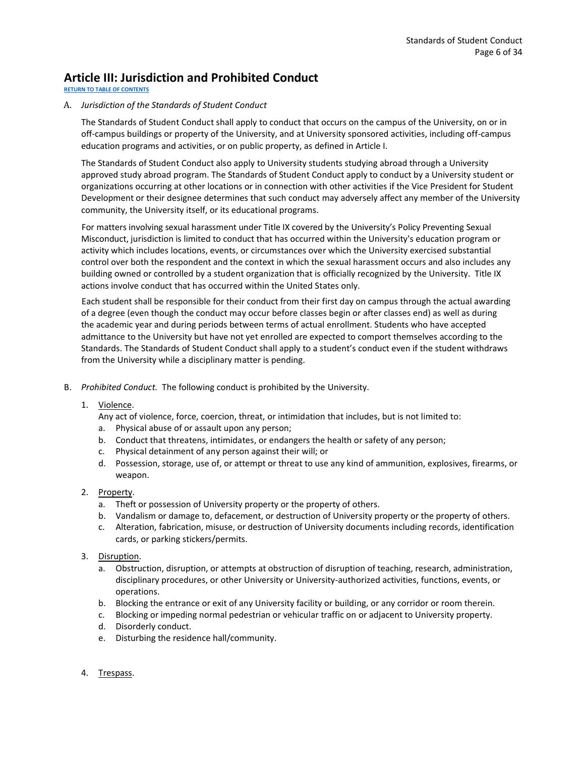## **Article III: Jurisdiction and Prohibited Conduct**

#### **[RETURN TO TABLE OF CONTENTS](#page-1-1)**

#### A. *Jurisdiction of the Standards of Student Conduct*

The Standards of Student Conduct shall apply to conduct that occurs on the campus of the University, on or in off-campus buildings or property of the University, and at University sponsored activities, including off-campus education programs and activities, or on public property, as defined in Article I.

The Standards of Student Conduct also apply to University students studying abroad through a University approved study abroad program. The Standards of Student Conduct apply to conduct by a University student or organizations occurring at other locations or in connection with other activities if the Vice President for Student Development or their designee determines that such conduct may adversely affect any member of the University community, the University itself, or its educational programs.

For matters involving sexual harassment under Title IX covered by the University's Policy Preventing Sexual Misconduct, jurisdiction is limited to conduct that has occurred within the University's education program or activity which includes locations, events, or circumstances over which the University exercised substantial control over both the respondent and the context in which the sexual harassment occurs and also includes any building owned or controlled by a student organization that is officially recognized by the University. Title IX actions involve conduct that has occurred within the United States only.

Each student shall be responsible for their conduct from their first day on campus through the actual awarding of a degree (even though the conduct may occur before classes begin or after classes end) as well as during the academic year and during periods between terms of actual enrollment. Students who have accepted admittance to the University but have not yet enrolled are expected to comport themselves according to the Standards. The Standards of Student Conduct shall apply to a student's conduct even if the student withdraws from the University while a disciplinary matter is pending.

- B. *Prohibited Conduct.* The following conduct is prohibited by the University.
	- 1. Violence.

Any act of violence, force, coercion, threat, or intimidation that includes, but is not limited to:

- a. Physical abuse of or assault upon any person;
- b. Conduct that threatens, intimidates, or endangers the health or safety of any person;
- c. Physical detainment of any person against their will; or
- d. Possession, storage, use of, or attempt or threat to use any kind of ammunition, explosives, firearms, or weapon.

#### 2. Property.

- a. Theft or possession of University property or the property of others.
- b. Vandalism or damage to, defacement, or destruction of University property or the property of others.
- c. Alteration, fabrication, misuse, or destruction of University documents including records, identification cards, or parking stickers/permits.

#### 3. Disruption.

- a. Obstruction, disruption, or attempts at obstruction of disruption of teaching, research, administration, disciplinary procedures, or other University or University-authorized activities, functions, events, or operations.
- b. Blocking the entrance or exit of any University facility or building, or any corridor or room therein.
- c. Blocking or impeding normal pedestrian or vehicular traffic on or adjacent to University property.
- d. Disorderly conduct.
- e. Disturbing the residence hall/community.
- 4. Trespass.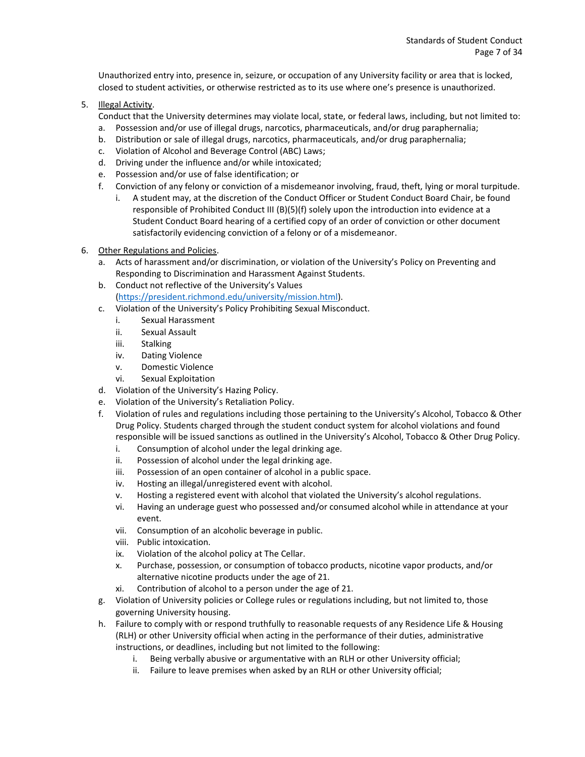Unauthorized entry into, presence in, seizure, or occupation of any University facility or area that is locked, closed to student activities, or otherwise restricted as to its use where one's presence is unauthorized.

5. **Illegal Activity.** 

Conduct that the University determines may violate local, state, or federal laws, including, but not limited to:

- a. Possession and/or use of illegal drugs, narcotics, pharmaceuticals, and/or drug paraphernalia;
- b. Distribution or sale of illegal drugs, narcotics, pharmaceuticals, and/or drug paraphernalia;
- c. Violation of Alcohol and Beverage Control (ABC) Laws;
- d. Driving under the influence and/or while intoxicated;
- e. Possession and/or use of false identification; or
- f. Conviction of any felony or conviction of a misdemeanor involving, fraud, theft, lying or moral turpitude.
	- i. A student may, at the discretion of the Conduct Officer or Student Conduct Board Chair, be found responsible of Prohibited Conduct III (B)(5)(f) solely upon the introduction into evidence at a Student Conduct Board hearing of a certified copy of an order of conviction or other document satisfactorily evidencing conviction of a felony or of a misdemeanor.
- 6. Other Regulations and Policies.
	- a. Acts of harassment and/or discrimination, or violation of the University's Policy on Preventing and Responding to Discrimination and Harassment Against Students.
	- b. Conduct not reflective of the University's Values [\(https://president.richmond.edu/university/mission.html\)](https://president.richmond.edu/university/mission.html).
	- c. Violation of the University's Policy Prohibiting Sexual Misconduct.
		- i. Sexual Harassment
		- ii. Sexual Assault
		- iii. Stalking
		- iv. Dating Violence
		- v. Domestic Violence
		- vi. Sexual Exploitation
	- d. Violation of the University's Hazing Policy.
	- e. Violation of the University's Retaliation Policy.
	- f. Violation of rules and regulations including those pertaining to the University's Alcohol, Tobacco & Other Drug Policy. Students charged through the student conduct system for alcohol violations and found responsible will be issued sanctions as outlined in the University's Alcohol, Tobacco & Other Drug Policy.
		- i. Consumption of alcohol under the legal drinking age.
		- ii. Possession of alcohol under the legal drinking age.
		- iii. Possession of an open container of alcohol in a public space.
		- iv. Hosting an illegal/unregistered event with alcohol.
		- v. Hosting a registered event with alcohol that violated the University's alcohol regulations.
		- vi. Having an underage guest who possessed and/or consumed alcohol while in attendance at your event.
		- vii. Consumption of an alcoholic beverage in public.
		- viii. Public intoxication.
		- ix. Violation of the alcohol policy at The Cellar.
		- x. Purchase, possession, or consumption of tobacco products, nicotine vapor products, and/or alternative nicotine products under the age of 21.
		- xi. Contribution of alcohol to a person under the age of 21.
	- g. Violation of University policies or College rules or regulations including, but not limited to, those governing University housing.
	- h. Failure to comply with or respond truthfully to reasonable requests of any Residence Life & Housing (RLH) or other University official when acting in the performance of their duties, administrative instructions, or deadlines, including but not limited to the following:
		- i. Being verbally abusive or argumentative with an RLH or other University official;
		- ii. Failure to leave premises when asked by an RLH or other University official;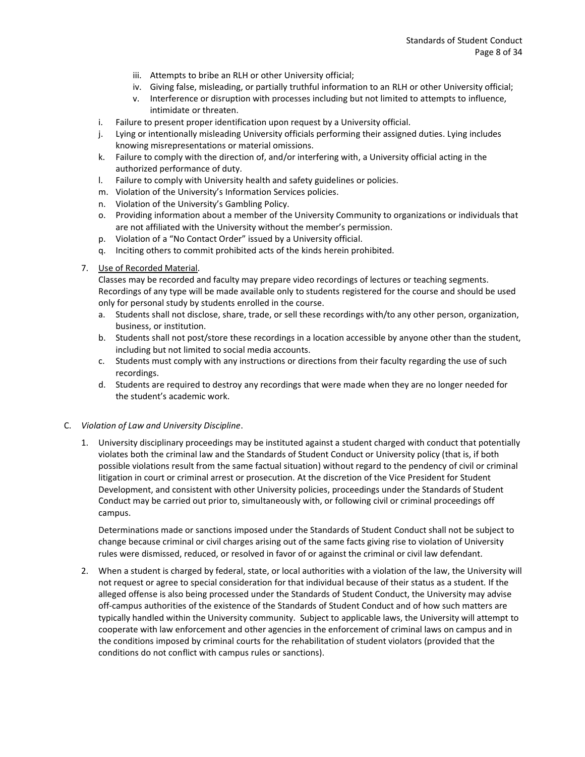- iii. Attempts to bribe an RLH or other University official;
- iv. Giving false, misleading, or partially truthful information to an RLH or other University official;
- v. Interference or disruption with processes including but not limited to attempts to influence, intimidate or threaten.
- i. Failure to present proper identification upon request by a University official.
- j. Lying or intentionally misleading University officials performing their assigned duties. Lying includes knowing misrepresentations or material omissions.
- k. Failure to comply with the direction of, and/or interfering with, a University official acting in the authorized performance of duty.
- l. Failure to comply with University health and safety guidelines or policies.
- m. Violation of the University's Information Services policies.
- n. Violation of the University's Gambling Policy.
- o. Providing information about a member of the University Community to organizations or individuals that are not affiliated with the University without the member's permission.
- p. Violation of a "No Contact Order" issued by a University official.
- q. Inciting others to commit prohibited acts of the kinds herein prohibited.
- 7. Use of Recorded Material.

Classes may be recorded and faculty may prepare video recordings of lectures or teaching segments. Recordings of any type will be made available only to students registered for the course and should be used only for personal study by students enrolled in the course.

- a. Students shall not disclose, share, trade, or sell these recordings with/to any other person, organization, business, or institution.
- b. Students shall not post/store these recordings in a location accessible by anyone other than the student, including but not limited to social media accounts.
- c. Students must comply with any instructions or directions from their faculty regarding the use of such recordings.
- d. Students are required to destroy any recordings that were made when they are no longer needed for the student's academic work.

#### C. *Violation of Law and University Discipline*.

1. University disciplinary proceedings may be instituted against a student charged with conduct that potentially violates both the criminal law and the Standards of Student Conduct or University policy (that is, if both possible violations result from the same factual situation) without regard to the pendency of civil or criminal litigation in court or criminal arrest or prosecution. At the discretion of the Vice President for Student Development, and consistent with other University policies, proceedings under the Standards of Student Conduct may be carried out prior to, simultaneously with, or following civil or criminal proceedings off campus.

Determinations made or sanctions imposed under the Standards of Student Conduct shall not be subject to change because criminal or civil charges arising out of the same facts giving rise to violation of University rules were dismissed, reduced, or resolved in favor of or against the criminal or civil law defendant.

2. When a student is charged by federal, state, or local authorities with a violation of the law, the University will not request or agree to special consideration for that individual because of their status as a student. If the alleged offense is also being processed under the Standards of Student Conduct, the University may advise off-campus authorities of the existence of the Standards of Student Conduct and of how such matters are typically handled within the University community. Subject to applicable laws, the University will attempt to cooperate with law enforcement and other agencies in the enforcement of criminal laws on campus and in the conditions imposed by criminal courts for the rehabilitation of student violators (provided that the conditions do not conflict with campus rules or sanctions).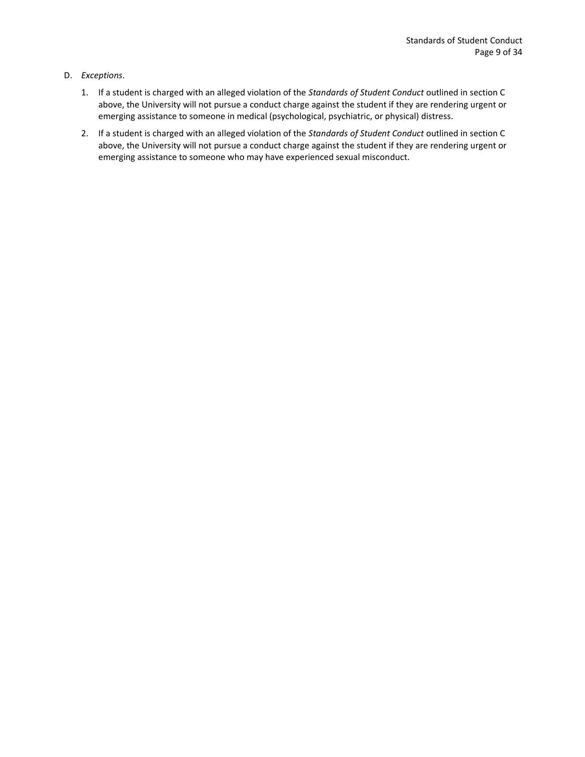#### D. *Exceptions*.

- 1. If a student is charged with an alleged violation of the *Standards of Student Conduct* outlined in section C above, the University will not pursue a conduct charge against the student if they are rendering urgent or emerging assistance to someone in medical (psychological, psychiatric, or physical) distress.
- 2. If a student is charged with an alleged violation of the *Standards of Student Conduct* outlined in section C above, the University will not pursue a conduct charge against the student if they are rendering urgent or emerging assistance to someone who may have experienced sexual misconduct.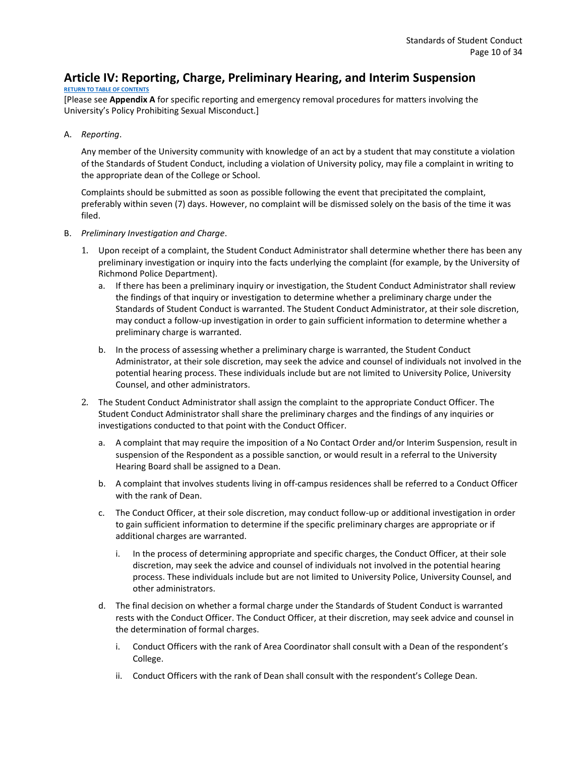# <span id="page-9-0"></span>**Article IV: Reporting, Charge, Preliminary Hearing, and Interim Suspension**

#### **[RETURN TO TABLE OF CONTENTS](#page-1-1)**

[Please see **Appendix A** for specific reporting and emergency removal procedures for matters involving the University's Policy Prohibiting Sexual Misconduct.]

A. *Reporting*.

Any member of the University community with knowledge of an act by a student that may constitute a violation of the Standards of Student Conduct, including a violation of University policy, may file a complaint in writing to the appropriate dean of the College or School.

Complaints should be submitted as soon as possible following the event that precipitated the complaint, preferably within seven (7) days. However, no complaint will be dismissed solely on the basis of the time it was filed.

- B. *Preliminary Investigation and Charge*.
	- 1. Upon receipt of a complaint, the Student Conduct Administrator shall determine whether there has been any preliminary investigation or inquiry into the facts underlying the complaint (for example, by the University of Richmond Police Department).
		- a. If there has been a preliminary inquiry or investigation, the Student Conduct Administrator shall review the findings of that inquiry or investigation to determine whether a preliminary charge under the Standards of Student Conduct is warranted. The Student Conduct Administrator, at their sole discretion, may conduct a follow-up investigation in order to gain sufficient information to determine whether a preliminary charge is warranted.
		- b. In the process of assessing whether a preliminary charge is warranted, the Student Conduct Administrator, at their sole discretion, may seek the advice and counsel of individuals not involved in the potential hearing process. These individuals include but are not limited to University Police, University Counsel, and other administrators.
	- 2. The Student Conduct Administrator shall assign the complaint to the appropriate Conduct Officer. The Student Conduct Administrator shall share the preliminary charges and the findings of any inquiries or investigations conducted to that point with the Conduct Officer.
		- a. A complaint that may require the imposition of a No Contact Order and/or Interim Suspension, result in suspension of the Respondent as a possible sanction, or would result in a referral to the University Hearing Board shall be assigned to a Dean.
		- b. A complaint that involves students living in off-campus residences shall be referred to a Conduct Officer with the rank of Dean.
		- c. The Conduct Officer, at their sole discretion, may conduct follow-up or additional investigation in order to gain sufficient information to determine if the specific preliminary charges are appropriate or if additional charges are warranted.
			- i. In the process of determining appropriate and specific charges, the Conduct Officer, at their sole discretion, may seek the advice and counsel of individuals not involved in the potential hearing process. These individuals include but are not limited to University Police, University Counsel, and other administrators.
		- d. The final decision on whether a formal charge under the Standards of Student Conduct is warranted rests with the Conduct Officer. The Conduct Officer, at their discretion, may seek advice and counsel in the determination of formal charges.
			- i. Conduct Officers with the rank of Area Coordinator shall consult with a Dean of the respondent's College.
			- ii. Conduct Officers with the rank of Dean shall consult with the respondent's College Dean.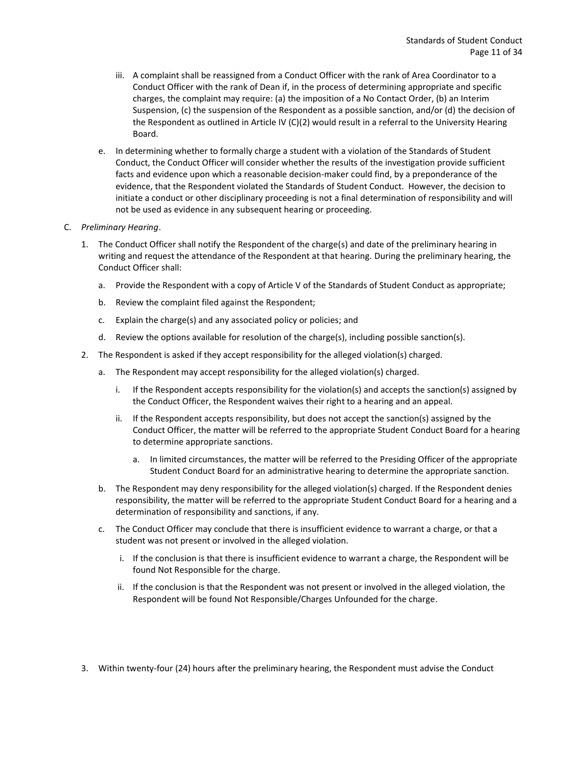- iii. A complaint shall be reassigned from a Conduct Officer with the rank of Area Coordinator to a Conduct Officer with the rank of Dean if, in the process of determining appropriate and specific charges, the complaint may require: (a) the imposition of a No Contact Order, (b) an Interim Suspension, (c) the suspension of the Respondent as a possible sanction, and/or (d) the decision of the Respondent as outlined in Article IV (C)(2) would result in a referral to the University Hearing Board.
- e. In determining whether to formally charge a student with a violation of the Standards of Student Conduct, the Conduct Officer will consider whether the results of the investigation provide sufficient facts and evidence upon which a reasonable decision-maker could find, by a preponderance of the evidence, that the Respondent violated the Standards of Student Conduct. However, the decision to initiate a conduct or other disciplinary proceeding is not a final determination of responsibility and will not be used as evidence in any subsequent hearing or proceeding.
- C. *Preliminary Hearing*.
	- 1. The Conduct Officer shall notify the Respondent of the charge(s) and date of the preliminary hearing in writing and request the attendance of the Respondent at that hearing. During the preliminary hearing, the Conduct Officer shall:
		- a. Provide the Respondent with a copy of Article V of the Standards of Student Conduct as appropriate;
		- b. Review the complaint filed against the Respondent;
		- c. Explain the charge(s) and any associated policy or policies; and
		- d. Review the options available for resolution of the charge(s), including possible sanction(s).
	- 2. The Respondent is asked if they accept responsibility for the alleged violation(s) charged.
		- a. The Respondent may accept responsibility for the alleged violation(s) charged.
			- i. If the Respondent accepts responsibility for the violation(s) and accepts the sanction(s) assigned by the Conduct Officer, the Respondent waives their right to a hearing and an appeal.
			- ii. If the Respondent accepts responsibility, but does not accept the sanction(s) assigned by the Conduct Officer, the matter will be referred to the appropriate Student Conduct Board for a hearing to determine appropriate sanctions.
				- a. In limited circumstances, the matter will be referred to the Presiding Officer of the appropriate Student Conduct Board for an administrative hearing to determine the appropriate sanction.
		- b. The Respondent may deny responsibility for the alleged violation(s) charged. If the Respondent denies responsibility, the matter will be referred to the appropriate Student Conduct Board for a hearing and a determination of responsibility and sanctions, if any.
		- c. The Conduct Officer may conclude that there is insufficient evidence to warrant a charge, or that a student was not present or involved in the alleged violation.
			- i. If the conclusion is that there is insufficient evidence to warrant a charge, the Respondent will be found Not Responsible for the charge.
			- ii. If the conclusion is that the Respondent was not present or involved in the alleged violation, the Respondent will be found Not Responsible/Charges Unfounded for the charge.
	- 3. Within twenty-four (24) hours after the preliminary hearing, the Respondent must advise the Conduct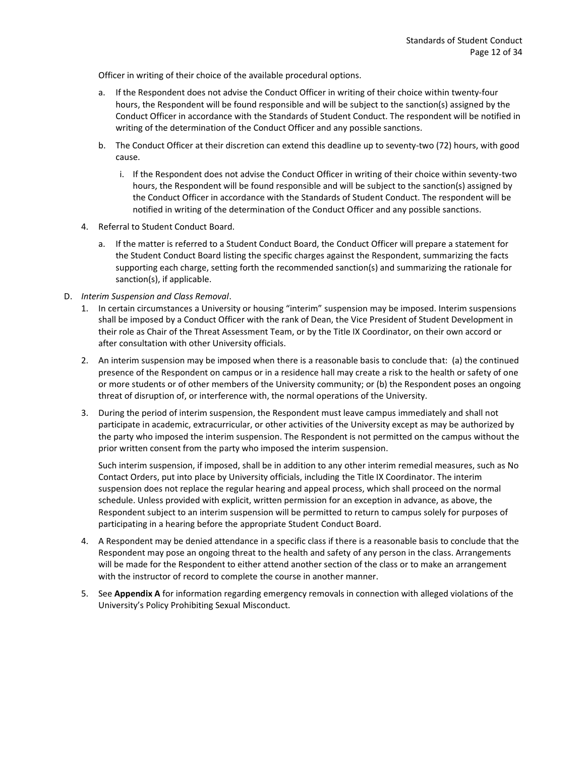Officer in writing of their choice of the available procedural options.

- a. If the Respondent does not advise the Conduct Officer in writing of their choice within twenty-four hours, the Respondent will be found responsible and will be subject to the sanction(s) assigned by the Conduct Officer in accordance with the Standards of Student Conduct. The respondent will be notified in writing of the determination of the Conduct Officer and any possible sanctions.
- b. The Conduct Officer at their discretion can extend this deadline up to seventy-two (72) hours, with good cause.
	- i. If the Respondent does not advise the Conduct Officer in writing of their choice within seventy-two hours, the Respondent will be found responsible and will be subject to the sanction(s) assigned by the Conduct Officer in accordance with the Standards of Student Conduct. The respondent will be notified in writing of the determination of the Conduct Officer and any possible sanctions.
- 4. Referral to Student Conduct Board.
	- a. If the matter is referred to a Student Conduct Board, the Conduct Officer will prepare a statement for the Student Conduct Board listing the specific charges against the Respondent, summarizing the facts supporting each charge, setting forth the recommended sanction(s) and summarizing the rationale for sanction(s), if applicable.
- D. *Interim Suspension and Class Removal*.
	- 1. In certain circumstances a University or housing "interim" suspension may be imposed. Interim suspensions shall be imposed by a Conduct Officer with the rank of Dean, the Vice President of Student Development in their role as Chair of the Threat Assessment Team, or by the Title IX Coordinator, on their own accord or after consultation with other University officials.
	- 2. An interim suspension may be imposed when there is a reasonable basis to conclude that: (a) the continued presence of the Respondent on campus or in a residence hall may create a risk to the health or safety of one or more students or of other members of the University community; or (b) the Respondent poses an ongoing threat of disruption of, or interference with, the normal operations of the University.
	- 3. During the period of interim suspension, the Respondent must leave campus immediately and shall not participate in academic, extracurricular, or other activities of the University except as may be authorized by the party who imposed the interim suspension. The Respondent is not permitted on the campus without the prior written consent from the party who imposed the interim suspension.

Such interim suspension, if imposed, shall be in addition to any other interim remedial measures, such as No Contact Orders, put into place by University officials, including the Title IX Coordinator. The interim suspension does not replace the regular hearing and appeal process, which shall proceed on the normal schedule. Unless provided with explicit, written permission for an exception in advance, as above, the Respondent subject to an interim suspension will be permitted to return to campus solely for purposes of participating in a hearing before the appropriate Student Conduct Board.

- 4. A Respondent may be denied attendance in a specific class if there is a reasonable basis to conclude that the Respondent may pose an ongoing threat to the health and safety of any person in the class. Arrangements will be made for the Respondent to either attend another section of the class or to make an arrangement with the instructor of record to complete the course in another manner.
- <span id="page-11-0"></span>5. See **Appendix A** for information regarding emergency removals in connection with alleged violations of the University's Policy Prohibiting Sexual Misconduct.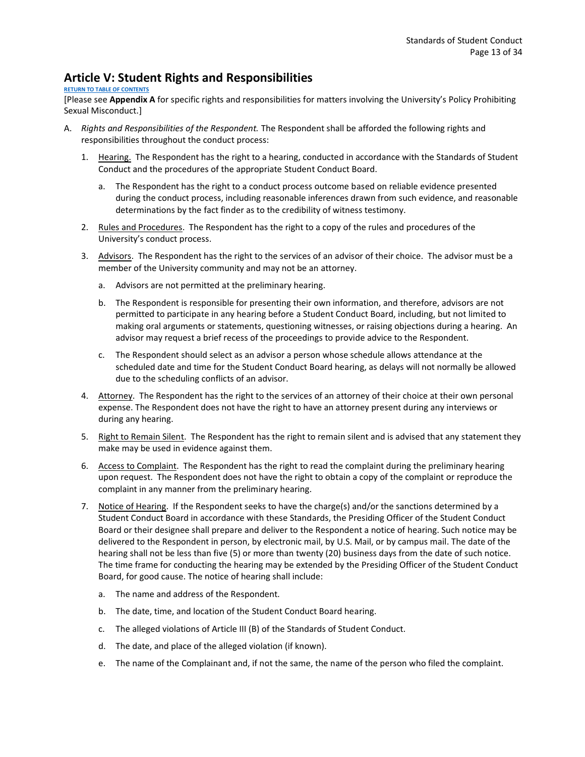## **Article V: Student Rights and Responsibilities**

#### **[RETURN TO TABLE OF CONTENTS](#page-1-1)**

[Please see **Appendix A** for specific rights and responsibilities for matters involving the University's Policy Prohibiting Sexual Misconduct.]

- A. *Rights and Responsibilities of the Respondent.* The Respondent shall be afforded the following rights and responsibilities throughout the conduct process:
	- 1. Hearing. The Respondent has the right to a hearing, conducted in accordance with the Standards of Student Conduct and the procedures of the appropriate Student Conduct Board.
		- a. The Respondent has the right to a conduct process outcome based on reliable evidence presented during the conduct process, including reasonable inferences drawn from such evidence, and reasonable determinations by the fact finder as to the credibility of witness testimony.
	- 2. Rules and Procedures. The Respondent has the right to a copy of the rules and procedures of the University's conduct process.
	- 3. Advisors. The Respondent has the right to the services of an advisor of their choice. The advisor must be a member of the University community and may not be an attorney.
		- a. Advisors are not permitted at the preliminary hearing.
		- b. The Respondent is responsible for presenting their own information, and therefore, advisors are not permitted to participate in any hearing before a Student Conduct Board, including, but not limited to making oral arguments or statements, questioning witnesses, or raising objections during a hearing. An advisor may request a brief recess of the proceedings to provide advice to the Respondent.
		- c. The Respondent should select as an advisor a person whose schedule allows attendance at the scheduled date and time for the Student Conduct Board hearing, as delays will not normally be allowed due to the scheduling conflicts of an advisor.
	- 4. Attorney. The Respondent has the right to the services of an attorney of their choice at their own personal expense. The Respondent does not have the right to have an attorney present during any interviews or during any hearing.
	- 5. Right to Remain Silent. The Respondent has the right to remain silent and is advised that any statement they make may be used in evidence against them.
	- 6. Access to Complaint. The Respondent has the right to read the complaint during the preliminary hearing upon request. The Respondent does not have the right to obtain a copy of the complaint or reproduce the complaint in any manner from the preliminary hearing.
	- 7. Notice of Hearing. If the Respondent seeks to have the charge(s) and/or the sanctions determined by a Student Conduct Board in accordance with these Standards, the Presiding Officer of the Student Conduct Board or their designee shall prepare and deliver to the Respondent a notice of hearing. Such notice may be delivered to the Respondent in person, by electronic mail, by U.S. Mail, or by campus mail. The date of the hearing shall not be less than five (5) or more than twenty (20) business days from the date of such notice. The time frame for conducting the hearing may be extended by the Presiding Officer of the Student Conduct Board, for good cause. The notice of hearing shall include:
		- a. The name and address of the Respondent.
		- b. The date, time, and location of the Student Conduct Board hearing.
		- c. The alleged violations of Article III (B) of the Standards of Student Conduct.
		- d. The date, and place of the alleged violation (if known).
		- e. The name of the Complainant and, if not the same, the name of the person who filed the complaint.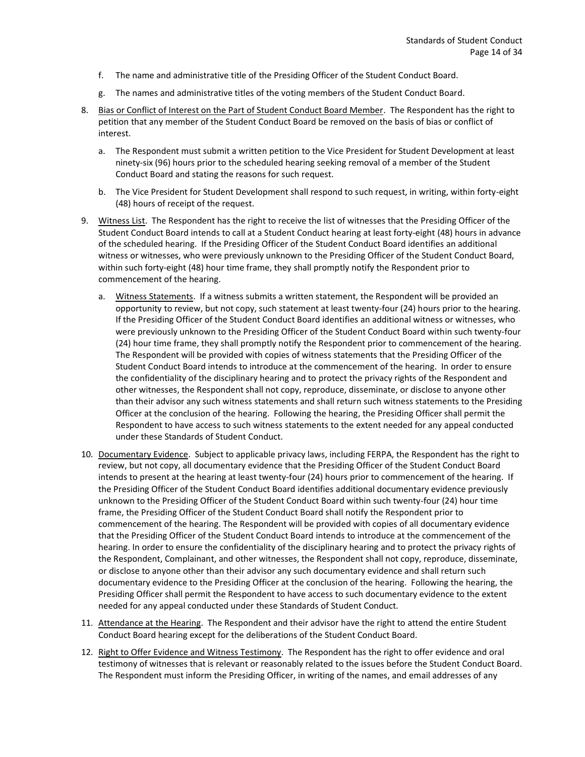- f. The name and administrative title of the Presiding Officer of the Student Conduct Board.
- g. The names and administrative titles of the voting members of the Student Conduct Board.
- 8. Bias or Conflict of Interest on the Part of Student Conduct Board Member. The Respondent has the right to petition that any member of the Student Conduct Board be removed on the basis of bias or conflict of interest.
	- a. The Respondent must submit a written petition to the Vice President for Student Development at least ninety-six (96) hours prior to the scheduled hearing seeking removal of a member of the Student Conduct Board and stating the reasons for such request.
	- b. The Vice President for Student Development shall respond to such request, in writing, within forty-eight (48) hours of receipt of the request.
- 9. Witness List. The Respondent has the right to receive the list of witnesses that the Presiding Officer of the Student Conduct Board intends to call at a Student Conduct hearing at least forty-eight (48) hours in advance of the scheduled hearing. If the Presiding Officer of the Student Conduct Board identifies an additional witness or witnesses, who were previously unknown to the Presiding Officer of the Student Conduct Board, within such forty-eight (48) hour time frame, they shall promptly notify the Respondent prior to commencement of the hearing.
	- a. Witness Statements. If a witness submits a written statement, the Respondent will be provided an opportunity to review, but not copy, such statement at least twenty-four (24) hours prior to the hearing. If the Presiding Officer of the Student Conduct Board identifies an additional witness or witnesses, who were previously unknown to the Presiding Officer of the Student Conduct Board within such twenty-four (24) hour time frame, they shall promptly notify the Respondent prior to commencement of the hearing. The Respondent will be provided with copies of witness statements that the Presiding Officer of the Student Conduct Board intends to introduce at the commencement of the hearing. In order to ensure the confidentiality of the disciplinary hearing and to protect the privacy rights of the Respondent and other witnesses, the Respondent shall not copy, reproduce, disseminate, or disclose to anyone other than their advisor any such witness statements and shall return such witness statements to the Presiding Officer at the conclusion of the hearing. Following the hearing, the Presiding Officer shall permit the Respondent to have access to such witness statements to the extent needed for any appeal conducted under these Standards of Student Conduct.
- 10. Documentary Evidence. Subject to applicable privacy laws, including FERPA, the Respondent has the right to review, but not copy, all documentary evidence that the Presiding Officer of the Student Conduct Board intends to present at the hearing at least twenty-four (24) hours prior to commencement of the hearing. If the Presiding Officer of the Student Conduct Board identifies additional documentary evidence previously unknown to the Presiding Officer of the Student Conduct Board within such twenty-four (24) hour time frame, the Presiding Officer of the Student Conduct Board shall notify the Respondent prior to commencement of the hearing. The Respondent will be provided with copies of all documentary evidence that the Presiding Officer of the Student Conduct Board intends to introduce at the commencement of the hearing. In order to ensure the confidentiality of the disciplinary hearing and to protect the privacy rights of the Respondent, Complainant, and other witnesses, the Respondent shall not copy, reproduce, disseminate, or disclose to anyone other than their advisor any such documentary evidence and shall return such documentary evidence to the Presiding Officer at the conclusion of the hearing. Following the hearing, the Presiding Officer shall permit the Respondent to have access to such documentary evidence to the extent needed for any appeal conducted under these Standards of Student Conduct.
- 11. Attendance at the Hearing. The Respondent and their advisor have the right to attend the entire Student Conduct Board hearing except for the deliberations of the Student Conduct Board.
- 12. Right to Offer Evidence and Witness Testimony. The Respondent has the right to offer evidence and oral testimony of witnesses that is relevant or reasonably related to the issues before the Student Conduct Board. The Respondent must inform the Presiding Officer, in writing of the names, and email addresses of any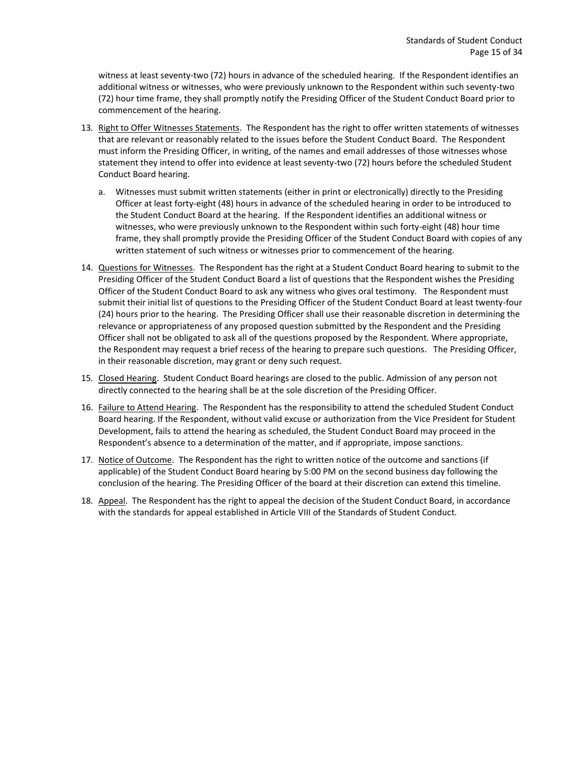witness at least seventy-two (72) hours in advance of the scheduled hearing. If the Respondent identifies an additional witness or witnesses, who were previously unknown to the Respondent within such seventy-two (72) hour time frame, they shall promptly notify the Presiding Officer of the Student Conduct Board prior to commencement of the hearing.

- 13. Right to Offer Witnesses Statements. The Respondent has the right to offer written statements of witnesses that are relevant or reasonably related to the issues before the Student Conduct Board. The Respondent must inform the Presiding Officer, in writing, of the names and email addresses of those witnesses whose statement they intend to offer into evidence at least seventy-two (72) hours before the scheduled Student Conduct Board hearing.
	- a. Witnesses must submit written statements (either in print or electronically) directly to the Presiding Officer at least forty-eight (48) hours in advance of the scheduled hearing in order to be introduced to the Student Conduct Board at the hearing. If the Respondent identifies an additional witness or witnesses, who were previously unknown to the Respondent within such forty-eight (48) hour time frame, they shall promptly provide the Presiding Officer of the Student Conduct Board with copies of any written statement of such witness or witnesses prior to commencement of the hearing.
- 14. Questions for Witnesses. The Respondent has the right at a Student Conduct Board hearing to submit to the Presiding Officer of the Student Conduct Board a list of questions that the Respondent wishes the Presiding Officer of the Student Conduct Board to ask any witness who gives oral testimony. The Respondent must submit their initial list of questions to the Presiding Officer of the Student Conduct Board at least twenty-four (24) hours prior to the hearing. The Presiding Officer shall use their reasonable discretion in determining the relevance or appropriateness of any proposed question submitted by the Respondent and the Presiding Officer shall not be obligated to ask all of the questions proposed by the Respondent. Where appropriate, the Respondent may request a brief recess of the hearing to prepare such questions. The Presiding Officer, in their reasonable discretion, may grant or deny such request.
- 15. Closed Hearing. Student Conduct Board hearings are closed to the public. Admission of any person not directly connected to the hearing shall be at the sole discretion of the Presiding Officer.
- 16. Failure to Attend Hearing. The Respondent has the responsibility to attend the scheduled Student Conduct Board hearing. If the Respondent, without valid excuse or authorization from the Vice President for Student Development, fails to attend the hearing as scheduled, the Student Conduct Board may proceed in the Respondent's absence to a determination of the matter, and if appropriate, impose sanctions.
- 17. Notice of Outcome. The Respondent has the right to written notice of the outcome and sanctions (if applicable) of the Student Conduct Board hearing by 5:00 PM on the second business day following the conclusion of the hearing. The Presiding Officer of the board at their discretion can extend this timeline.
- 18. Appeal. The Respondent has the right to appeal the decision of the Student Conduct Board, in accordance with the standards for appeal established in Article VIII of the Standards of Student Conduct.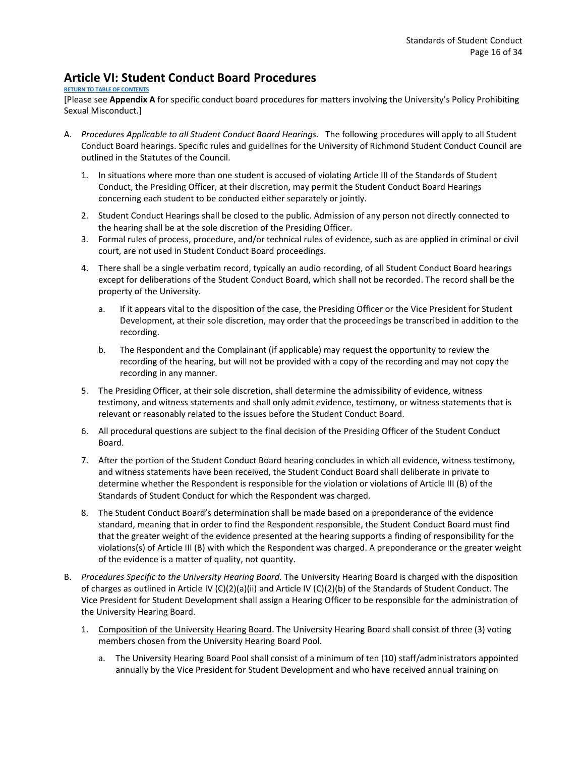## <span id="page-15-0"></span>**Article VI: Student Conduct Board Procedures**

#### **[RETURN TO TABLE OF CONTENTS](#page-1-1)**

[Please see **Appendix A** for specific conduct board procedures for matters involving the University's Policy Prohibiting Sexual Misconduct.]

- A. *Procedures Applicable to all Student Conduct Board Hearings.* The following procedures will apply to all Student Conduct Board hearings. Specific rules and guidelines for the University of Richmond Student Conduct Council are outlined in the Statutes of the Council.
	- 1. In situations where more than one student is accused of violating Article III of the Standards of Student Conduct, the Presiding Officer, at their discretion, may permit the Student Conduct Board Hearings concerning each student to be conducted either separately or jointly.
	- 2. Student Conduct Hearings shall be closed to the public. Admission of any person not directly connected to the hearing shall be at the sole discretion of the Presiding Officer.
	- 3. Formal rules of process, procedure, and/or technical rules of evidence, such as are applied in criminal or civil court, are not used in Student Conduct Board proceedings.
	- 4. There shall be a single verbatim record, typically an audio recording, of all Student Conduct Board hearings except for deliberations of the Student Conduct Board, which shall not be recorded. The record shall be the property of the University.
		- a. If it appears vital to the disposition of the case, the Presiding Officer or the Vice President for Student Development, at their sole discretion, may order that the proceedings be transcribed in addition to the recording.
		- b. The Respondent and the Complainant (if applicable) may request the opportunity to review the recording of the hearing, but will not be provided with a copy of the recording and may not copy the recording in any manner.
	- 5. The Presiding Officer, at their sole discretion, shall determine the admissibility of evidence, witness testimony, and witness statements and shall only admit evidence, testimony, or witness statements that is relevant or reasonably related to the issues before the Student Conduct Board.
	- 6. All procedural questions are subject to the final decision of the Presiding Officer of the Student Conduct Board.
	- 7. After the portion of the Student Conduct Board hearing concludes in which all evidence, witness testimony, and witness statements have been received, the Student Conduct Board shall deliberate in private to determine whether the Respondent is responsible for the violation or violations of Article III (B) of the Standards of Student Conduct for which the Respondent was charged.
	- 8. The Student Conduct Board's determination shall be made based on a preponderance of the evidence standard, meaning that in order to find the Respondent responsible, the Student Conduct Board must find that the greater weight of the evidence presented at the hearing supports a finding of responsibility for the violations(s) of Article III (B) with which the Respondent was charged. A preponderance or the greater weight of the evidence is a matter of quality, not quantity.
- B. *Procedures Specific to the University Hearing Board.* The University Hearing Board is charged with the disposition of charges as outlined in Article IV  $(C)(2)(a)(ii)$  and Article IV  $(C)(2)(b)$  of the Standards of Student Conduct. The Vice President for Student Development shall assign a Hearing Officer to be responsible for the administration of the University Hearing Board.
	- 1. Composition of the University Hearing Board. The University Hearing Board shall consist of three (3) voting members chosen from the University Hearing Board Pool.
		- a. The University Hearing Board Pool shall consist of a minimum of ten (10) staff/administrators appointed annually by the Vice President for Student Development and who have received annual training on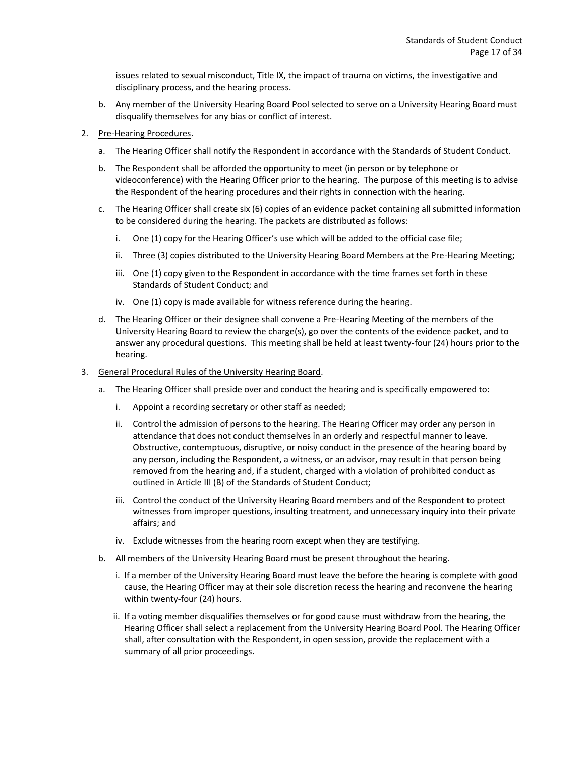issues related to sexual misconduct, Title IX, the impact of trauma on victims, the investigative and disciplinary process, and the hearing process.

- b. Any member of the University Hearing Board Pool selected to serve on a University Hearing Board must disqualify themselves for any bias or conflict of interest.
- 2. Pre-Hearing Procedures.
	- a. The Hearing Officer shall notify the Respondent in accordance with the Standards of Student Conduct.
	- b. The Respondent shall be afforded the opportunity to meet (in person or by telephone or videoconference) with the Hearing Officer prior to the hearing. The purpose of this meeting is to advise the Respondent of the hearing procedures and their rights in connection with the hearing.
	- c. The Hearing Officer shall create six (6) copies of an evidence packet containing all submitted information to be considered during the hearing. The packets are distributed as follows:
		- i. One (1) copy for the Hearing Officer's use which will be added to the official case file;
		- ii. Three (3) copies distributed to the University Hearing Board Members at the Pre-Hearing Meeting;
		- iii. One (1) copy given to the Respondent in accordance with the time frames set forth in these Standards of Student Conduct; and
		- iv. One (1) copy is made available for witness reference during the hearing.
	- d. The Hearing Officer or their designee shall convene a Pre-Hearing Meeting of the members of the University Hearing Board to review the charge(s), go over the contents of the evidence packet, and to answer any procedural questions. This meeting shall be held at least twenty-four (24) hours prior to the hearing.
- 3. General Procedural Rules of the University Hearing Board.
	- a. The Hearing Officer shall preside over and conduct the hearing and is specifically empowered to:
		- i. Appoint a recording secretary or other staff as needed;
		- ii. Control the admission of persons to the hearing. The Hearing Officer may order any person in attendance that does not conduct themselves in an orderly and respectful manner to leave. Obstructive, contemptuous, disruptive, or noisy conduct in the presence of the hearing board by any person, including the Respondent, a witness, or an advisor, may result in that person being removed from the hearing and, if a student, charged with a violation of prohibited conduct as outlined in Article III (B) of the Standards of Student Conduct;
		- iii. Control the conduct of the University Hearing Board members and of the Respondent to protect witnesses from improper questions, insulting treatment, and unnecessary inquiry into their private affairs; and
		- iv. Exclude witnesses from the hearing room except when they are testifying.
	- b. All members of the University Hearing Board must be present throughout the hearing.
		- i. If a member of the University Hearing Board must leave the before the hearing is complete with good cause, the Hearing Officer may at their sole discretion recess the hearing and reconvene the hearing within twenty-four (24) hours.
		- ii. If a voting member disqualifies themselves or for good cause must withdraw from the hearing, the Hearing Officer shall select a replacement from the University Hearing Board Pool. The Hearing Officer shall, after consultation with the Respondent, in open session, provide the replacement with a summary of all prior proceedings.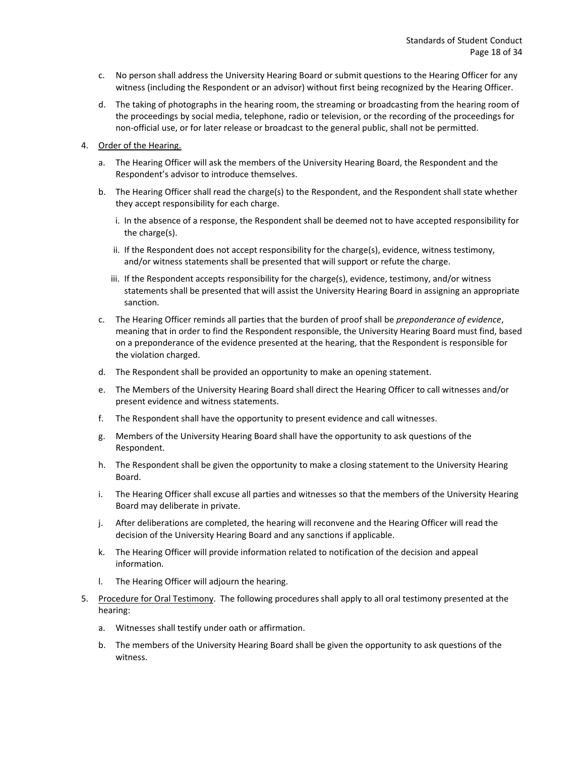- c. No person shall address the University Hearing Board or submit questions to the Hearing Officer for any witness (including the Respondent or an advisor) without first being recognized by the Hearing Officer.
- d. The taking of photographs in the hearing room, the streaming or broadcasting from the hearing room of the proceedings by social media, telephone, radio or television, or the recording of the proceedings for non-official use, or for later release or broadcast to the general public, shall not be permitted.
- 4. Order of the Hearing.
	- a. The Hearing Officer will ask the members of the University Hearing Board, the Respondent and the Respondent's advisor to introduce themselves.
	- b. The Hearing Officer shall read the charge(s) to the Respondent, and the Respondent shall state whether they accept responsibility for each charge.
		- i. In the absence of a response, the Respondent shall be deemed not to have accepted responsibility for the charge(s).
		- ii. If the Respondent does not accept responsibility for the charge(s), evidence, witness testimony, and/or witness statements shall be presented that will support or refute the charge.
		- iii. If the Respondent accepts responsibility for the charge(s), evidence, testimony, and/or witness statements shall be presented that will assist the University Hearing Board in assigning an appropriate sanction.
	- c. The Hearing Officer reminds all parties that the burden of proof shall be *preponderance of evidence*, meaning that in order to find the Respondent responsible, the University Hearing Board must find, based on a preponderance of the evidence presented at the hearing, that the Respondent is responsible for the violation charged.
	- d. The Respondent shall be provided an opportunity to make an opening statement.
	- e. The Members of the University Hearing Board shall direct the Hearing Officer to call witnesses and/or present evidence and witness statements.
	- f. The Respondent shall have the opportunity to present evidence and call witnesses.
	- g. Members of the University Hearing Board shall have the opportunity to ask questions of the Respondent.
	- h. The Respondent shall be given the opportunity to make a closing statement to the University Hearing Board.
	- i. The Hearing Officer shall excuse all parties and witnesses so that the members of the University Hearing Board may deliberate in private.
	- j. After deliberations are completed, the hearing will reconvene and the Hearing Officer will read the decision of the University Hearing Board and any sanctions if applicable.
	- k. The Hearing Officer will provide information related to notification of the decision and appeal information.
	- l. The Hearing Officer will adjourn the hearing.
- 5. Procedure for Oral Testimony. The following procedures shall apply to all oral testimony presented at the hearing:
	- a. Witnesses shall testify under oath or affirmation.
	- b. The members of the University Hearing Board shall be given the opportunity to ask questions of the witness.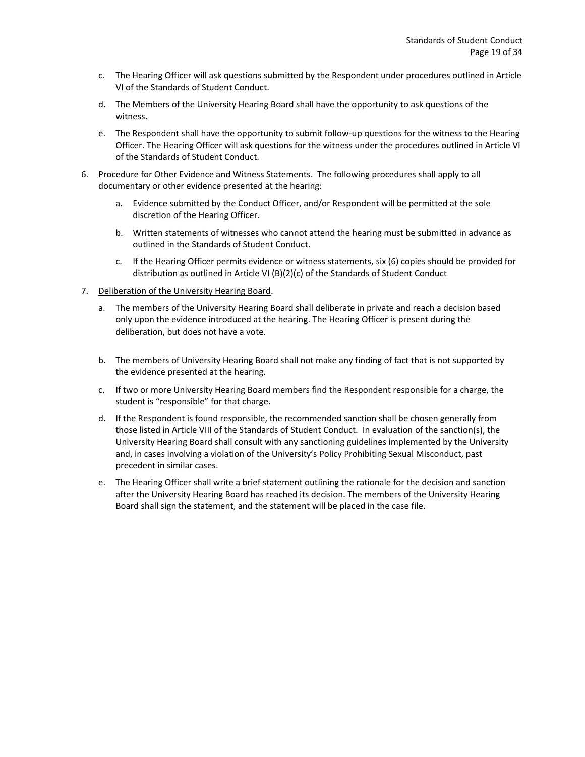- c. The Hearing Officer will ask questions submitted by the Respondent under procedures outlined in Article VI of the Standards of Student Conduct.
- d. The Members of the University Hearing Board shall have the opportunity to ask questions of the witness.
- e. The Respondent shall have the opportunity to submit follow-up questions for the witness to the Hearing Officer. The Hearing Officer will ask questions for the witness under the procedures outlined in Article VI of the Standards of Student Conduct.
- 6. Procedure for Other Evidence and Witness Statements. The following procedures shall apply to all documentary or other evidence presented at the hearing:
	- a. Evidence submitted by the Conduct Officer, and/or Respondent will be permitted at the sole discretion of the Hearing Officer.
	- b. Written statements of witnesses who cannot attend the hearing must be submitted in advance as outlined in the Standards of Student Conduct.
	- c. If the Hearing Officer permits evidence or witness statements, six (6) copies should be provided for distribution as outlined in Article VI (B)(2)(c) of the Standards of Student Conduct
- 7. Deliberation of the University Hearing Board.
	- a. The members of the University Hearing Board shall deliberate in private and reach a decision based only upon the evidence introduced at the hearing. The Hearing Officer is present during the deliberation, but does not have a vote.
	- b. The members of University Hearing Board shall not make any finding of fact that is not supported by the evidence presented at the hearing.
	- c. If two or more University Hearing Board members find the Respondent responsible for a charge, the student is "responsible" for that charge.
	- d. If the Respondent is found responsible, the recommended sanction shall be chosen generally from those listed in Article VIII of the Standards of Student Conduct. In evaluation of the sanction(s), the University Hearing Board shall consult with any sanctioning guidelines implemented by the University and, in cases involving a violation of the University's Policy Prohibiting Sexual Misconduct, past precedent in similar cases.
	- e. The Hearing Officer shall write a brief statement outlining the rationale for the decision and sanction after the University Hearing Board has reached its decision. The members of the University Hearing Board shall sign the statement, and the statement will be placed in the case file.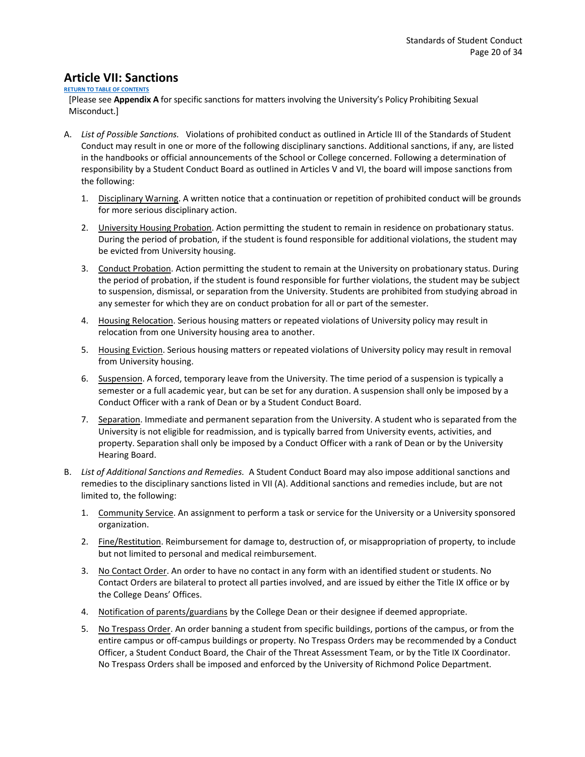### <span id="page-19-0"></span>**Article VII: Sanctions**

#### **[RETURN TO TABLE OF CONTENTS](#page-1-1)**

[Please see **Appendix A** for specific sanctions for matters involving the University's Policy Prohibiting Sexual Misconduct.]

- A. *List of Possible Sanctions.* Violations of prohibited conduct as outlined in Article III of the Standards of Student Conduct may result in one or more of the following disciplinary sanctions. Additional sanctions, if any, are listed in the handbooks or official announcements of the School or College concerned. Following a determination of responsibility by a Student Conduct Board as outlined in Articles V and VI, the board will impose sanctions from the following:
	- 1. Disciplinary Warning. A written notice that a continuation or repetition of prohibited conduct will be grounds for more serious disciplinary action.
	- 2. University Housing Probation. Action permitting the student to remain in residence on probationary status. During the period of probation, if the student is found responsible for additional violations, the student may be evicted from University housing.
	- 3. Conduct Probation. Action permitting the student to remain at the University on probationary status. During the period of probation, if the student is found responsible for further violations, the student may be subject to suspension, dismissal, or separation from the University. Students are prohibited from studying abroad in any semester for which they are on conduct probation for all or part of the semester.
	- 4. Housing Relocation. Serious housing matters or repeated violations of University policy may result in relocation from one University housing area to another.
	- 5. Housing Eviction. Serious housing matters or repeated violations of University policy may result in removal from University housing.
	- 6. Suspension. A forced, temporary leave from the University. The time period of a suspension is typically a semester or a full academic year, but can be set for any duration. A suspension shall only be imposed by a Conduct Officer with a rank of Dean or by a Student Conduct Board.
	- 7. Separation. Immediate and permanent separation from the University. A student who is separated from the University is not eligible for readmission, and is typically barred from University events, activities, and property. Separation shall only be imposed by a Conduct Officer with a rank of Dean or by the University Hearing Board.
- B. *List of Additional Sanctions and Remedies.* A Student Conduct Board may also impose additional sanctions and remedies to the disciplinary sanctions listed in VII (A). Additional sanctions and remedies include, but are not limited to, the following:
	- 1. Community Service. An assignment to perform a task or service for the University or a University sponsored organization.
	- 2. Fine/Restitution. Reimbursement for damage to, destruction of, or misappropriation of property, to include but not limited to personal and medical reimbursement.
	- 3. No Contact Order. An order to have no contact in any form with an identified student or students. No Contact Orders are bilateral to protect all parties involved, and are issued by either the Title IX office or by the College Deans' Offices.
	- 4. Notification of parents/guardians by the College Dean or their designee if deemed appropriate.
	- 5. No Trespass Order. An order banning a student from specific buildings, portions of the campus, or from the entire campus or off-campus buildings or property. No Trespass Orders may be recommended by a Conduct Officer, a Student Conduct Board, the Chair of the Threat Assessment Team, or by the Title IX Coordinator. No Trespass Orders shall be imposed and enforced by the University of Richmond Police Department.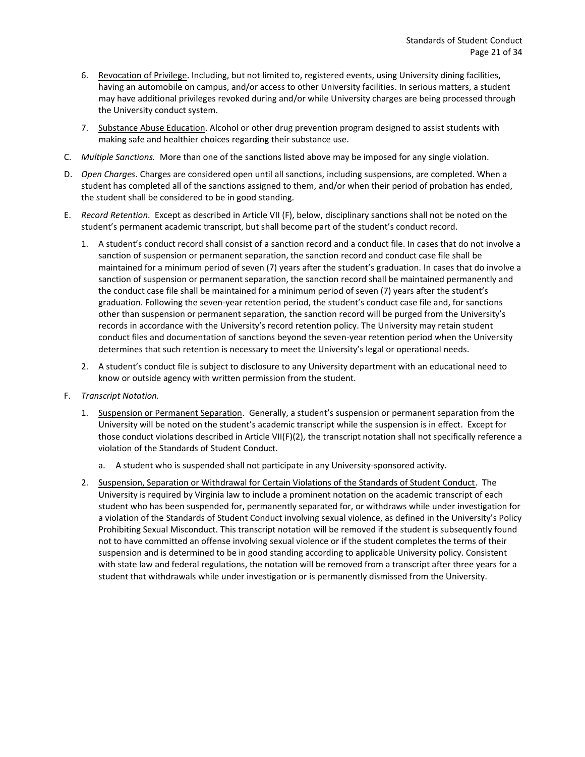- 6. Revocation of Privilege. Including, but not limited to, registered events, using University dining facilities, having an automobile on campus, and/or access to other University facilities. In serious matters, a student may have additional privileges revoked during and/or while University charges are being processed through the University conduct system.
- 7. Substance Abuse Education. Alcohol or other drug prevention program designed to assist students with making safe and healthier choices regarding their substance use.
- C. *Multiple Sanctions.* More than one of the sanctions listed above may be imposed for any single violation.
- D. *Open Charges*. Charges are considered open until all sanctions, including suspensions, are completed. When a student has completed all of the sanctions assigned to them, and/or when their period of probation has ended, the student shall be considered to be in good standing.
- E. *Record Retention.* Except as described in Article VII (F), below, disciplinary sanctions shall not be noted on the student's permanent academic transcript, but shall become part of the student's conduct record.
	- 1. A student's conduct record shall consist of a sanction record and a conduct file. In cases that do not involve a sanction of suspension or permanent separation, the sanction record and conduct case file shall be maintained for a minimum period of seven (7) years after the student's graduation. In cases that do involve a sanction of suspension or permanent separation, the sanction record shall be maintained permanently and the conduct case file shall be maintained for a minimum period of seven (7) years after the student's graduation. Following the seven-year retention period, the student's conduct case file and, for sanctions other than suspension or permanent separation, the sanction record will be purged from the University's records in accordance with the University's record retention policy. The University may retain student conduct files and documentation of sanctions beyond the seven-year retention period when the University determines that such retention is necessary to meet the University's legal or operational needs.
	- 2. A student's conduct file is subject to disclosure to any University department with an educational need to know or outside agency with written permission from the student.
- F. *Transcript Notation.*
	- 1. Suspension or Permanent Separation. Generally, a student's suspension or permanent separation from the University will be noted on the student's academic transcript while the suspension is in effect. Except for those conduct violations described in Article VII(F)(2), the transcript notation shall not specifically reference a violation of the Standards of Student Conduct.
		- a. A student who is suspended shall not participate in any University-sponsored activity.
	- 2. Suspension, Separation or Withdrawal for Certain Violations of the Standards of Student Conduct. The University is required by Virginia law to include a prominent notation on the academic transcript of each student who has been suspended for, permanently separated for, or withdraws while under investigation for a violation of the Standards of Student Conduct involving sexual violence, as defined in the University's Policy Prohibiting Sexual Misconduct. This transcript notation will be removed if the student is subsequently found not to have committed an offense involving sexual violence or if the student completes the terms of their suspension and is determined to be in good standing according to applicable University policy. Consistent with state law and federal regulations, the notation will be removed from a transcript after three years for a student that withdrawals while under investigation or is permanently dismissed from the University.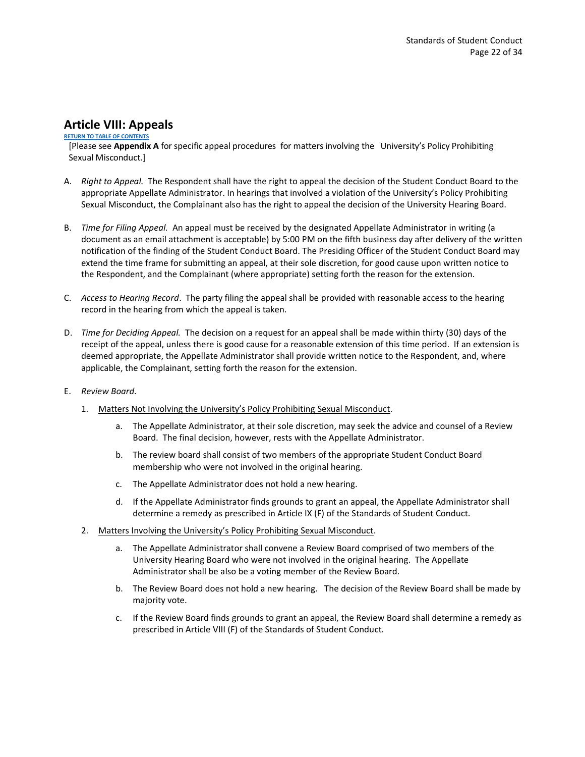## <span id="page-21-0"></span>**Article VIII: Appeals**

#### **[RETURN TO TABLE OF CONTENTS](#page-1-1)**

[Please see **Appendix A** for specific appeal procedures for matters involving the University's Policy Prohibiting Sexual Misconduct.]

- A. *Right to Appeal.* The Respondent shall have the right to appeal the decision of the Student Conduct Board to the appropriate Appellate Administrator. In hearings that involved a violation of the University's Policy Prohibiting Sexual Misconduct, the Complainant also has the right to appeal the decision of the University Hearing Board.
- B. *Time for Filing Appeal.* An appeal must be received by the designated Appellate Administrator in writing (a document as an email attachment is acceptable) by 5:00 PM on the fifth business day after delivery of the written notification of the finding of the Student Conduct Board. The Presiding Officer of the Student Conduct Board may extend the time frame for submitting an appeal, at their sole discretion, for good cause upon written notice to the Respondent, and the Complainant (where appropriate) setting forth the reason for the extension.
- C. *Access to Hearing Record*. The party filing the appeal shall be provided with reasonable access to the hearing record in the hearing from which the appeal is taken.
- D. *Time for Deciding Appeal.* The decision on a request for an appeal shall be made within thirty (30) days of the receipt of the appeal, unless there is good cause for a reasonable extension of this time period. If an extension is deemed appropriate, the Appellate Administrator shall provide written notice to the Respondent, and, where applicable, the Complainant, setting forth the reason for the extension.
- E. *Review Board.* 
	- 1. Matters Not Involving the University's Policy Prohibiting Sexual Misconduct.
		- a. The Appellate Administrator, at their sole discretion, may seek the advice and counsel of a Review Board. The final decision, however, rests with the Appellate Administrator.
		- b. The review board shall consist of two members of the appropriate Student Conduct Board membership who were not involved in the original hearing.
		- c. The Appellate Administrator does not hold a new hearing.
		- d. If the Appellate Administrator finds grounds to grant an appeal, the Appellate Administrator shall determine a remedy as prescribed in Article IX (F) of the Standards of Student Conduct.
	- 2. Matters Involving the University's Policy Prohibiting Sexual Misconduct.
		- a. The Appellate Administrator shall convene a Review Board comprised of two members of the University Hearing Board who were not involved in the original hearing. The Appellate Administrator shall be also be a voting member of the Review Board.
		- b. The Review Board does not hold a new hearing. The decision of the Review Board shall be made by majority vote.
		- c. If the Review Board finds grounds to grant an appeal, the Review Board shall determine a remedy as prescribed in Article VIII (F) of the Standards of Student Conduct.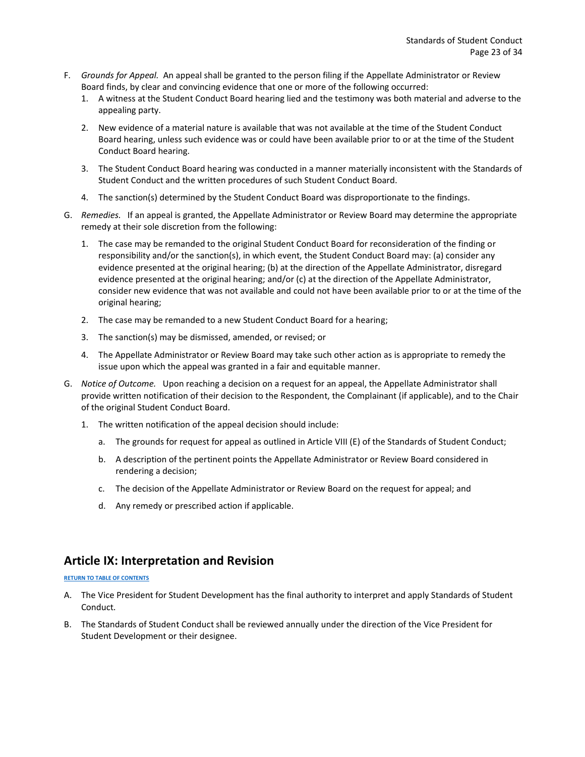- F. *Grounds for Appeal.* An appeal shall be granted to the person filing if the Appellate Administrator or Review Board finds, by clear and convincing evidence that one or more of the following occurred:
	- 1. A witness at the Student Conduct Board hearing lied and the testimony was both material and adverse to the appealing party.
	- 2. New evidence of a material nature is available that was not available at the time of the Student Conduct Board hearing, unless such evidence was or could have been available prior to or at the time of the Student Conduct Board hearing.
	- 3. The Student Conduct Board hearing was conducted in a manner materially inconsistent with the Standards of Student Conduct and the written procedures of such Student Conduct Board.
	- 4. The sanction(s) determined by the Student Conduct Board was disproportionate to the findings.
- G. *Remedies.* If an appeal is granted, the Appellate Administrator or Review Board may determine the appropriate remedy at their sole discretion from the following:
	- 1. The case may be remanded to the original Student Conduct Board for reconsideration of the finding or responsibility and/or the sanction(s), in which event, the Student Conduct Board may: (a) consider any evidence presented at the original hearing; (b) at the direction of the Appellate Administrator, disregard evidence presented at the original hearing; and/or (c) at the direction of the Appellate Administrator, consider new evidence that was not available and could not have been available prior to or at the time of the original hearing;
	- 2. The case may be remanded to a new Student Conduct Board for a hearing;
	- 3. The sanction(s) may be dismissed, amended, or revised; or
	- 4. The Appellate Administrator or Review Board may take such other action as is appropriate to remedy the issue upon which the appeal was granted in a fair and equitable manner.
- G. *Notice of Outcome.* Upon reaching a decision on a request for an appeal, the Appellate Administrator shall provide written notification of their decision to the Respondent, the Complainant (if applicable), and to the Chair of the original Student Conduct Board.
	- 1. The written notification of the appeal decision should include:
		- a. The grounds for request for appeal as outlined in Article VIII (E) of the Standards of Student Conduct;
		- b. A description of the pertinent points the Appellate Administrator or Review Board considered in rendering a decision;
		- c. The decision of the Appellate Administrator or Review Board on the request for appeal; and
		- d. Any remedy or prescribed action if applicable.

## <span id="page-22-0"></span>**Article IX: Interpretation and Revision**

#### **[RETURN TO TABLE OF CONTENTS](#page-1-1)**

- A. The Vice President for Student Development has the final authority to interpret and apply Standards of Student Conduct.
- <span id="page-22-1"></span>B. The Standards of Student Conduct shall be reviewed annually under the direction of the Vice President for Student Development or their designee.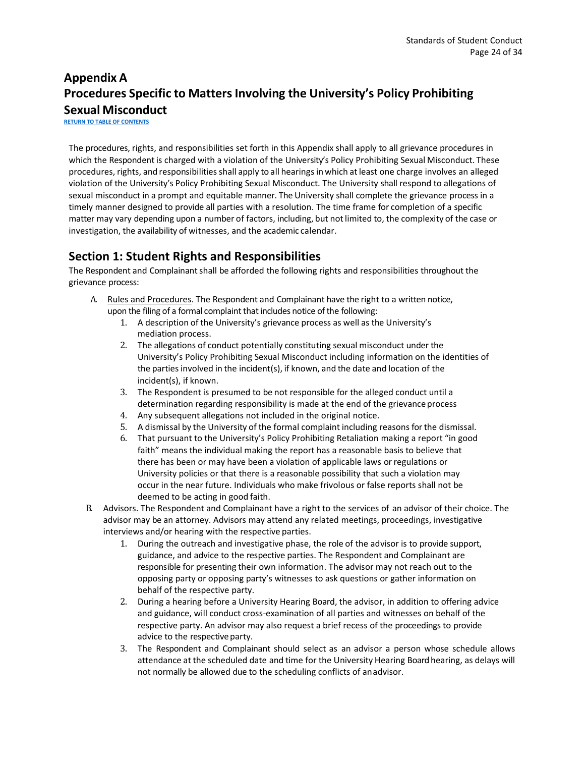# **Appendix A Procedures Specific to Matters Involving the University's Policy Prohibiting Sexual Misconduct**

**[RETURN TO TABLE OF CONTENTS](#page-1-1)**

The procedures, rights, and responsibilities set forth in this Appendix shall apply to all grievance procedures in which the Respondent is charged with a violation of the University's Policy Prohibiting Sexual Misconduct. These procedures, rights, and responsibilities shall apply to all hearings in which at least one charge involves an alleged violation of the University's Policy Prohibiting Sexual Misconduct. The University shall respond to allegations of sexual misconduct in a prompt and equitable manner. The University shall complete the grievance process in a timely manner designed to provide all parties with a resolution. The time frame for completion of a specific matter may vary depending upon a number of factors, including, but notlimited to, the complexity of the case or investigation, the availability of witnesses, and the academic calendar.

# **Section 1: Student Rights and Responsibilities**

The Respondent and Complainant shall be afforded the following rights and responsibilities throughout the grievance process:

- A. Rules and Procedures. The Respondent and Complainant have the right to a written notice, upon the filing of a formal complaint that includes notice of the following:
	- 1. A description of the University's grievance process as well as the University's mediation process.
	- 2. The allegations of conduct potentially constituting sexual misconduct under the University's Policy Prohibiting Sexual Misconduct including information on the identities of the partiesinvolved in the incident(s), if known, and the date and location of the incident(s), if known.
	- 3. The Respondent is presumed to be not responsible for the alleged conduct until a determination regarding responsibility is made at the end of the grievance process
	- 4. Any subsequent allegations not included in the original notice.
	- 5. A dismissal by the University of the formal complaint including reasons for the dismissal.
	- 6. That pursuant to the University's Policy Prohibiting Retaliation making a report "in good faith" means the individual making the report has a reasonable basis to believe that there has been or may have been a violation of applicable laws or regulations or University policies or that there is a reasonable possibility that such a violation may occur in the near future. Individuals who make frivolous or false reports shall not be deemed to be acting in good faith.
- B. Advisors. The Respondent and Complainant have a right to the services of an advisor of their choice. The advisor may be an attorney. Advisors may attend any related meetings, proceedings, investigative interviews and/or hearing with the respective parties.
	- 1. During the outreach and investigative phase, the role of the advisor is to provide support, guidance, and advice to the respective parties. The Respondent and Complainant are responsible for presenting their own information. The advisor may not reach out to the opposing party or opposing party's witnesses to ask questions or gather information on behalf of the respective party.
	- 2. During a hearing before a University Hearing Board, the advisor, in addition to offering advice and guidance, will conduct cross-examination of all parties and witnesses on behalf of the respective party. An advisor may also request a brief recess of the proceedings to provide advice to the respective party.
	- 3. The Respondent and Complainant should select as an advisor a person whose schedule allows attendance at the scheduled date and time for the University Hearing Boardhearing, as delays will not normally be allowed due to the scheduling conflicts of anadvisor.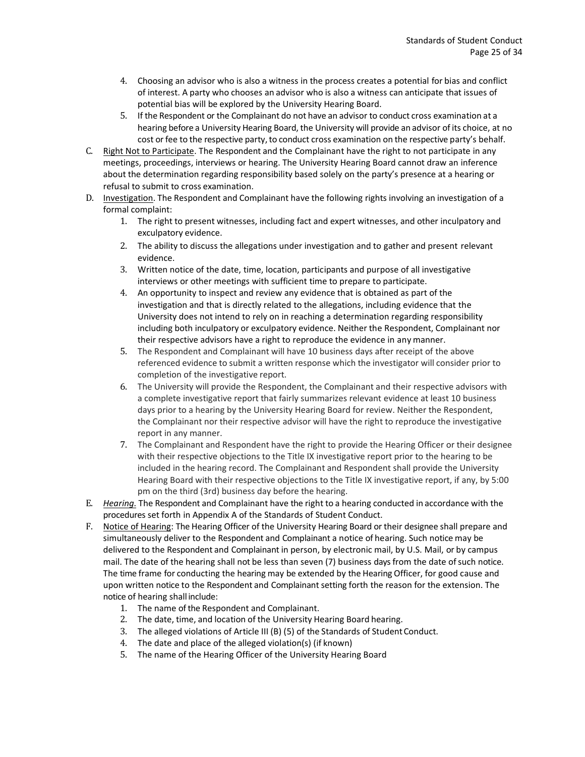- 4. Choosing an advisor who is also a witness in the process creates a potential for bias and conflict of interest. A party who chooses an advisor who is also a witness can anticipate that issues of potential bias will be explored by the University Hearing Board.
- 5. If the Respondent or the Complainant do not have an advisor to conduct cross examination at a hearing before a University Hearing Board, the University will provide an advisor of its choice, at no cost or fee to the respective party, to conduct cross examination on the respective party's behalf.
- C. Right Not to Participate. The Respondent and the Complainant have the right to not participate in any meetings, proceedings, interviews or hearing. The University Hearing Board cannot draw an inference about the determination regarding responsibility based solely on the party's presence at a hearing or refusal to submit to cross examination.
- D. Investigation. The Respondent and Complainant have the following rights involving an investigation of a formal complaint:
	- 1. The right to present witnesses, including fact and expert witnesses, and other inculpatory and exculpatory evidence.
	- 2. The ability to discuss the allegations under investigation and to gather and present relevant evidence.
	- 3. Written notice of the date, time, location, participants and purpose of all investigative interviews or other meetings with sufficient time to prepare to participate.
	- 4. An opportunity to inspect and review any evidence that is obtained as part of the investigation and that is directly related to the allegations, including evidence that the University does not intend to rely on in reaching a determination regarding responsibility including both inculpatory or exculpatory evidence. Neither the Respondent, Complainant nor their respective advisors have a right to reproduce the evidence in any manner.
	- 5. The Respondent and Complainant will have 10 business days after receipt of the above referenced evidence to submit a written response which the investigator will consider prior to completion of the investigative report.
	- 6. The University will provide the Respondent, the Complainant and their respective advisors with a complete investigative report that fairly summarizes relevant evidence at least 10 business days prior to a hearing by the University Hearing Board for review. Neither the Respondent, the Complainant nor their respective advisor will have the right to reproduce the investigative report in any manner.
	- 7. The Complainant and Respondent have the right to provide the Hearing Officer or their designee with their respective objections to the Title IX investigative report prior to the hearing to be included in the hearing record. The Complainant and Respondent shall provide the University Hearing Board with their respective objections to the Title IX investigative report, if any, by 5:00 pm on the third (3rd) business day before the hearing.
- E. *Hearing.* The Respondent and Complainant have the right to a hearing conducted in accordance with the procedures set forth in Appendix A of the Standards of Student Conduct.
- F. Notice of Hearing: The Hearing Officer of the University Hearing Board or their designee shall prepare and simultaneously deliver to the Respondent and Complainant a notice of hearing. Such notice may be delivered to the Respondent and Complainant in person, by electronic mail, by U.S. Mail, or by campus mail. The date of the hearing shall not be less than seven (7) business days from the date of such notice. The time frame for conducting the hearing may be extended by the Hearing Officer, for good cause and upon written notice to the Respondent and Complainant setting forth the reason for the extension. The notice of hearing shall include:
	- 1. The name of the Respondent and Complainant.
	- 2. The date, time, and location of the University Hearing Board hearing.
	- 3. The alleged violations of Article III (B) (5) of the Standards of StudentConduct.
	- 4. The date and place of the alleged violation(s) (if known)
	- 5. The name of the Hearing Officer of the University Hearing Board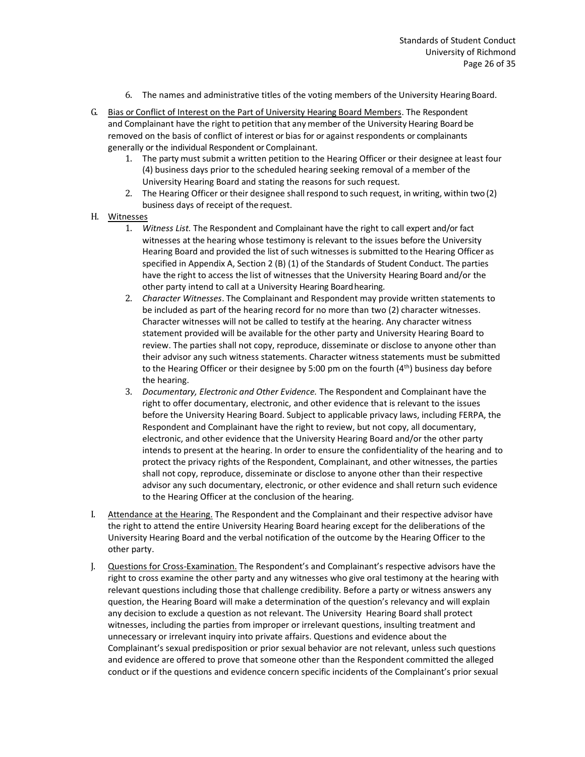- 6. The names and administrative titles of the voting members of the University Hearing Board.
- G. Bias or Conflict of Interest on the Part of University Hearing Board Members. The Respondent and Complainant have the right to petition that any member of the University Hearing Board be removed on the basis of conflict of interest or bias for or against respondents or complainants generally or the individual Respondent or Complainant.
	- 1. The party must submit a written petition to the Hearing Officer or their designee at least four (4) business days prior to the scheduled hearing seeking removal of a member of the University Hearing Board and stating the reasons for such request.
	- 2. The Hearing Officer or their designee shall respond to such request, in writing, within two (2) business days of receipt of the request.
- H. Witnesses
	- 1. *Witness List.* The Respondent and Complainant have the right to call expert and/or fact witnesses at the hearing whose testimony is relevant to the issues before the University Hearing Board and provided the list of such witnessesis submitted to the Hearing Officer as specified in Appendix A, Section 2 (B) (1) of the Standards of Student Conduct. The parties have the right to access the list of witnesses that the University Hearing Board and/or the other party intend to call at a University Hearing Boardhearing.
	- 2. *Character Witnesses*. The Complainant and Respondent may provide written statements to be included as part of the hearing record for no more than two (2) character witnesses. Character witnesses will not be called to testify at the hearing. Any character witness statement provided will be available for the other party and University Hearing Board to review. The parties shall not copy, reproduce, disseminate or disclose to anyone other than their advisor any such witness statements. Character witness statements must be submitted to the Hearing Officer or their designee by 5:00 pm on the fourth (4th) business day before the hearing.
	- 3. *Documentary, Electronic and Other Evidence.* The Respondent and Complainant have the right to offer documentary, electronic, and other evidence that is relevant to the issues before the University Hearing Board. Subject to applicable privacy laws, including FERPA, the Respondent and Complainant have the right to review, but not copy, all documentary, electronic, and other evidence that the University Hearing Board and/or the other party intends to present at the hearing. In order to ensure the confidentiality of the hearing and to protect the privacy rights of the Respondent, Complainant, and other witnesses, the parties shall not copy, reproduce, disseminate or disclose to anyone other than their respective advisor any such documentary, electronic, or other evidence and shall return such evidence to the Hearing Officer at the conclusion of the hearing.
- I. Attendance at the Hearing. The Respondent and the Complainant and their respective advisor have the right to attend the entire University Hearing Board hearing except for the deliberations of the University Hearing Board and the verbal notification of the outcome by the Hearing Officer to the other party.
- J. Questions for Cross-Examination. The Respondent's and Complainant's respective advisors have the right to cross examine the other party and any witnesses who give oral testimony at the hearing with relevant questions including those that challenge credibility. Before a party or witness answers any question, the Hearing Board will make a determination of the question's relevancy and will explain any decision to exclude a question as not relevant. The University Hearing Board shall protect witnesses, including the parties from improper or irrelevant questions, insulting treatment and unnecessary or irrelevant inquiry into private affairs. Questions and evidence about the Complainant's sexual predisposition or prior sexual behavior are not relevant, unless such questions and evidence are offered to prove that someone other than the Respondent committed the alleged conduct or if the questions and evidence concern specific incidents of the Complainant's prior sexual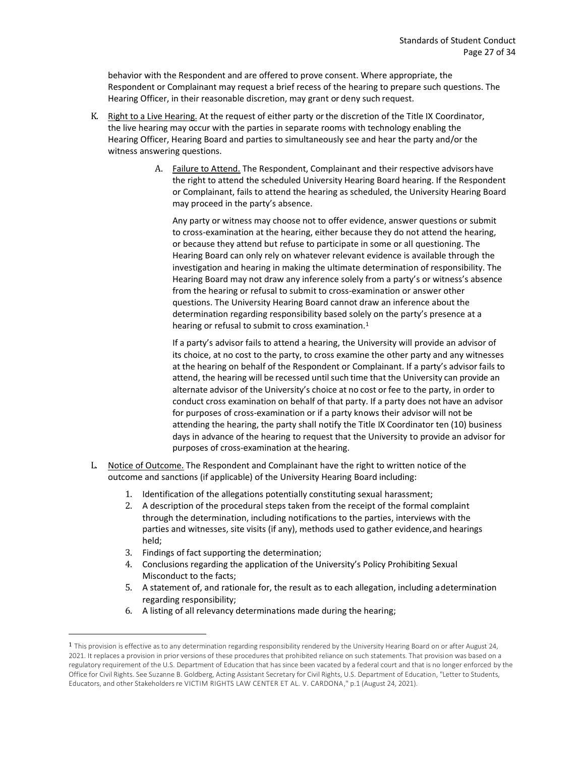behavior with the Respondent and are offered to prove consent. Where appropriate, the Respondent or Complainant may request a brief recess of the hearing to prepare such questions. The Hearing Officer, in their reasonable discretion, may grant or deny such request.

- K. Right to a Live Hearing. At the request of either party or the discretion of the Title IX Coordinator, the live hearing may occur with the parties in separate rooms with technology enabling the Hearing Officer, Hearing Board and parties to simultaneously see and hear the party and/or the witness answering questions.
	- A. Failure to Attend. The Respondent, Complainant and their respective advisorshave the right to attend the scheduled University Hearing Board hearing. If the Respondent or Complainant, fails to attend the hearing as scheduled, the University Hearing Board may proceed in the party's absence.

Any party or witness may choose not to offer evidence, answer questions or submit to cross-examination at the hearing, either because they do not attend the hearing, or because they attend but refuse to participate in some or all questioning. The Hearing Board can only rely on whatever relevant evidence is available through the investigation and hearing in making the ultimate determination of responsibility. The Hearing Board may not draw any inference solely from a party's or witness's absence from the hearing or refusal to submit to cross-examination or answer other questions. The University Hearing Board cannot draw an inference about the determination regarding responsibility based solely on the party's presence at a hearing or refusal to submit to cross examination.<sup>1</sup>

If a party's advisor fails to attend a hearing, the University will provide an advisor of its choice, at no cost to the party, to cross examine the other party and any witnesses at the hearing on behalf of the Respondent or Complainant. If a party's advisor fails to attend, the hearing will be recessed until such time that the University can provide an alternate advisor of the University's choice at no cost or fee to the party, in order to conduct cross examination on behalf of that party. If a party does not have an advisor for purposes of cross-examination or if a party knows their advisor will not be attending the hearing, the party shall notify the Title IX Coordinator ten (10) business days in advance of the hearing to request that the University to provide an advisor for purposes of cross-examination at the hearing.

- L. Notice of Outcome. The Respondent and Complainant have the right to written notice of the outcome and sanctions (if applicable) of the University Hearing Board including:
	- 1. Identification of the allegations potentially constituting sexual harassment;
	- 2. A description of the procedural steps taken from the receipt of the formal complaint through the determination, including notifications to the parties, interviews with the parties and witnesses, site visits (if any), methods used to gather evidence, and hearings held;
	- 3. Findings of fact supporting the determination;
	- 4. Conclusions regarding the application of the University's Policy Prohibiting Sexual Misconduct to the facts;
	- 5. A statement of, and rationale for, the result as to each allegation, including adetermination regarding responsibility;
	- 6. A listing of all relevancy determinations made during the hearing;

 $1$  This provision is effective as to any determination regarding responsibility rendered by the University Hearing Board on or after August 24, 2021. It replaces a provision in prior versions of these procedures that prohibited reliance on such statements. That provision was based on a regulatory requirement of the U.S. Department of Education that has since been vacated by a federal court and that is no longer enforced by the Office for Civil Rights. See Suzanne B. Goldberg, Acting Assistant Secretary for Civil Rights, U.S. Department of Education, "Letter to Students, Educators, and other Stakeholders re VICTIM RIGHTS LAW CENTER ET AL. V. CARDONA," p.1 (August 24, 2021).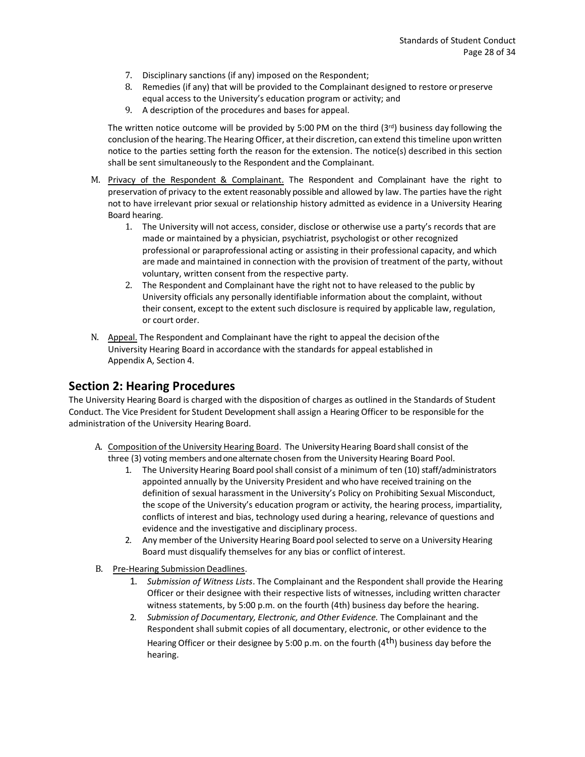- 7. Disciplinary sanctions (if any) imposed on the Respondent;
- 8. Remedies (if any) that will be provided to the Complainant designed to restore or preserve equal access to the University's education program or activity; and
- 9. A description of the procedures and bases for appeal.

The written notice outcome will be provided by 5:00 PM on the third (3rd) business day following the conclusion of the hearing. The Hearing Officer, at their discretion, can extend this timeline upon written notice to the parties setting forth the reason for the extension. The notice(s) described in this section shall be sent simultaneously to the Respondent and the Complainant.

- M. Privacy of the Respondent & Complainant. The Respondent and Complainant have the right to preservation of privacy to the extent reasonably possible and allowed by law. The parties have the right not to have irrelevant prior sexual or relationship history admitted as evidence in a University Hearing Board hearing.
	- 1. The University will not access, consider, disclose or otherwise use a party's records that are made or maintained by a physician, psychiatrist, psychologist or other recognized professional or paraprofessional acting or assisting in their professional capacity, and which are made and maintained in connection with the provision of treatment of the party, without voluntary, written consent from the respective party.
	- 2. The Respondent and Complainant have the right not to have released to the public by University officials any personally identifiable information about the complaint, without their consent, except to the extent such disclosure is required by applicable law, regulation, or court order.
- N. Appeal. The Respondent and Complainant have the right to appeal the decision ofthe University Hearing Board in accordance with the standards for appeal established in Appendix A, Section 4.

## **Section 2: Hearing Procedures**

The University Hearing Board is charged with the disposition of charges as outlined in the Standards of Student Conduct. The Vice President for Student Development shall assign a Hearing Officer to be responsible for the administration of the University Hearing Board.

- A. Composition of the University Hearing Board. The University Hearing Board shall consist of the three (3) voting members andone alternate chosen from the University Hearing Board Pool.
	- 1. The University Hearing Board pool shall consist of a minimum of ten (10) staff/administrators appointed annually by the University President and who have received training on the definition of sexual harassment in the University's Policy on Prohibiting Sexual Misconduct, the scope of the University's education program or activity, the hearing process, impartiality, conflicts of interest and bias, technology used during a hearing, relevance of questions and evidence and the investigative and disciplinary process.
	- 2. Any member of the University Hearing Board pool selected to serve on a University Hearing Board must disqualify themselves for any bias or conflict of interest.
- B. Pre-Hearing Submission Deadlines.
	- 1. *Submission of Witness Lists*. The Complainant and the Respondent shall provide the Hearing Officer or their designee with their respective lists of witnesses, including written character witness statements, by 5:00 p.m. on the fourth (4th) business day before the hearing.
	- 2. *Submission of Documentary, Electronic, and Other Evidence.* The Complainant and the Respondent shall submit copies of all documentary, electronic, or other evidence to the Hearing Officer or their designee by 5:00 p.m. on the fourth (4<sup>th</sup>) business dav before the hearing.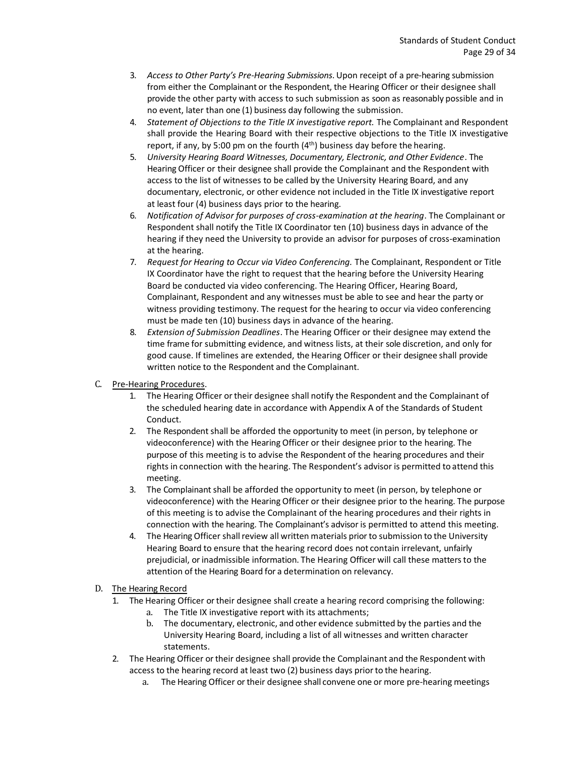- 3. *Access to Other Party's Pre-Hearing Submissions*. Upon receipt of a pre-hearing submission from either the Complainant or the Respondent, the Hearing Officer or their designee shall provide the other party with access to such submission as soon as reasonably possible and in no event, later than one (1) business day following the submission.
- 4. *Statement of Objections to the Title IX investigative report.* The Complainant and Respondent shall provide the Hearing Board with their respective objections to the Title IX investigative report, if any, by 5:00 pm on the fourth (4<sup>th</sup>) business day before the hearing.
- 5. *University Hearing Board Witnesses, Documentary, Electronic, and Other Evidence*. The Hearing Officer or their designee shall provide the Complainant and the Respondent with access to the list of witnesses to be called by the University Hearing Board, and any documentary, electronic, or other evidence not included in the Title IX investigative report at least four (4) business days prior to the hearing.
- 6. *Notification of Advisor for purposes of cross-examination at the hearing*. The Complainant or Respondent shall notify the Title IX Coordinator ten (10) business days in advance of the hearing if they need the University to provide an advisor for purposes of cross-examination at the hearing.
- 7. *Request for Hearing to Occur via Video Conferencing.* The Complainant, Respondent or Title IX Coordinator have the right to request that the hearing before the University Hearing Board be conducted via video conferencing. The Hearing Officer, Hearing Board, Complainant, Respondent and any witnesses must be able to see and hear the party or witness providing testimony. The request for the hearing to occur via video conferencing must be made ten (10) business days in advance of the hearing.
- 8. *Extension of Submission Deadlines*. The Hearing Officer or their designee may extend the time frame for submitting evidence, and witness lists, at their sole discretion, and only for good cause. If timelines are extended, the Hearing Officer or their designee shall provide written notice to the Respondent and the Complainant.
- C. Pre-Hearing Procedures.
	- 1. The Hearing Officer or their designee shall notify the Respondent and the Complainant of the scheduled hearing date in accordance with Appendix A of the Standards of Student Conduct.
	- 2. The Respondent shall be afforded the opportunity to meet (in person, by telephone or videoconference) with the Hearing Officer or their designee prior to the hearing. The purpose of this meeting is to advise the Respondent of the hearing procedures and their rights in connection with the hearing. The Respondent's advisor is permitted to attend this meeting.
	- 3. The Complainant shall be afforded the opportunity to meet (in person, by telephone or videoconference) with the Hearing Officer or their designee prior to the hearing. The purpose of this meeting is to advise the Complainant of the hearing procedures and their rights in connection with the hearing. The Complainant's advisor is permitted to attend this meeting.
	- 4. The Hearing Officer shall review all written materials prior to submission to the University Hearing Board to ensure that the hearing record does not contain irrelevant, unfairly prejudicial, or inadmissible information. The Hearing Officer will call these matters to the attention of the Hearing Board for a determination on relevancy.
- D. The Hearing Record
	- 1. The Hearing Officer or their designee shall create a hearing record comprising the following:
		- a. The Title IX investigative report with its attachments;
		- b. The documentary, electronic, and other evidence submitted by the parties and the University Hearing Board, including a list of all witnesses and written character statements.
	- 2. The Hearing Officer or their designee shall provide the Complainant and the Respondent with access to the hearing record at least two (2) business days prior to the hearing.
		- a. The Hearing Officer or their designee shall convene one or more pre-hearing meetings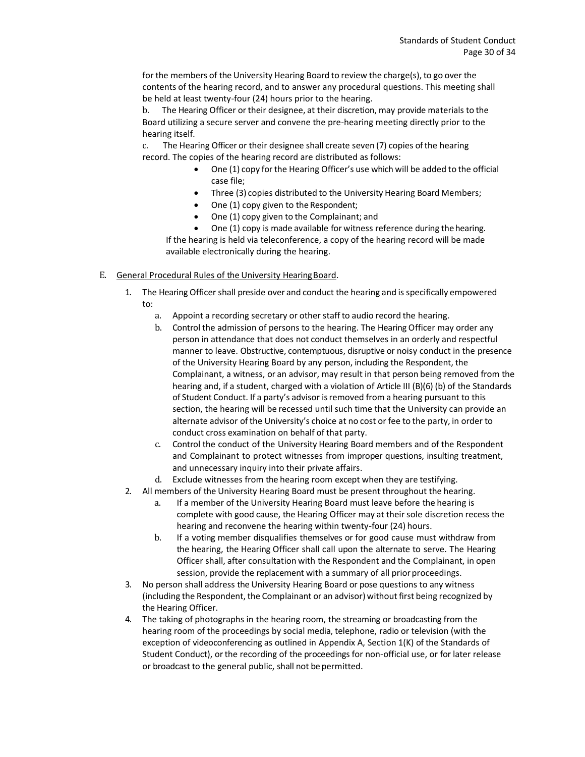for the members of the University Hearing Board to review the charge(s), to go over the contents of the hearing record, and to answer any procedural questions. This meeting shall be held at least twenty-four (24) hours prior to the hearing.

b. The Hearing Officer or their designee, at their discretion, may provide materials to the Board utilizing a secure server and convene the pre-hearing meeting directly prior to the hearing itself.

c. The Hearing Officer or their designee shall create seven (7) copies ofthe hearing record. The copies of the hearing record are distributed as follows:

- One (1) copy for the Hearing Officer's use which will be added to the official case file;
- Three (3) copies distributed to the University Hearing Board Members;
- One (1) copy given to the Respondent;
- One (1) copy given to the Complainant; and

One (1) copy is made available for witness reference during the hearing. If the hearing is held via teleconference, a copy of the hearing record will be made available electronically during the hearing.

#### E. General Procedural Rules of the University HearingBoard.

- 1. The Hearing Officer shall preside over and conduct the hearing and is specifically empowered to:
	- a. Appoint a recording secretary or other staff to audio record the hearing.
	- b. Control the admission of persons to the hearing. The Hearing Officer may order any person in attendance that does not conduct themselves in an orderly and respectful manner to leave. Obstructive, contemptuous, disruptive or noisy conduct in the presence of the University Hearing Board by any person, including the Respondent, the Complainant, a witness, or an advisor, may result in that person being removed from the hearing and, if a student, charged with a violation of Article III (B)(6) (b) of the Standards of Student Conduct. If a party's advisor isremoved from a hearing pursuant to this section, the hearing will be recessed until such time that the University can provide an alternate advisor of the University's choice at no cost or fee to the party, in order to conduct cross examination on behalf of that party.
	- c. Control the conduct of the University Hearing Board members and of the Respondent and Complainant to protect witnesses from improper questions, insulting treatment, and unnecessary inquiry into their private affairs.
	- d. Exclude witnesses from the hearing room except when they are testifying.
- 2. All members of the University Hearing Board must be present throughout the hearing.
	- a. If a member of the University Hearing Board must leave before the hearing is complete with good cause, the Hearing Officer may at their sole discretion recess the hearing and reconvene the hearing within twenty-four (24) hours.
	- b. If a voting member disqualifies themselves or for good cause must withdraw from the hearing, the Hearing Officer shall call upon the alternate to serve. The Hearing Officer shall, after consultation with the Respondent and the Complainant, in open session, provide the replacement with a summary of all prior proceedings.
- 3. No person shall address the University Hearing Board or pose questions to any witness (including the Respondent, the Complainant or an advisor) without first being recognized by the Hearing Officer.
- 4. The taking of photographs in the hearing room, the streaming or broadcasting from the hearing room of the proceedings by social media, telephone, radio or television (with the exception of videoconferencing as outlined in Appendix A, Section 1(K) of the Standards of Student Conduct), or the recording of the proceedings for non-official use, or for later release or broadcast to the general public, shall not be permitted.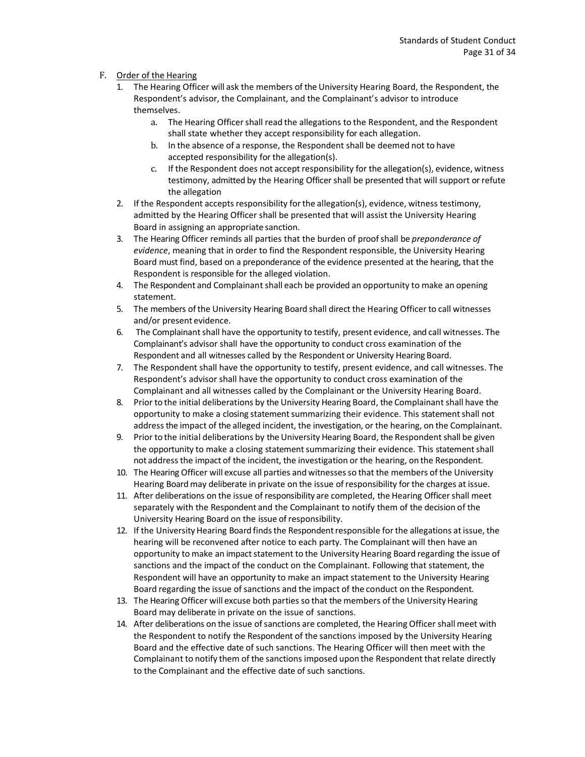#### F. Order of the Hearing

- 1. The Hearing Officer will ask the members of the University Hearing Board, the Respondent, the Respondent's advisor, the Complainant, and the Complainant's advisor to introduce themselves.
	- a. The Hearing Officer shall read the allegations to the Respondent, and the Respondent shall state whether they accept responsibility for each allegation.
	- b. In the absence of a response, the Respondent shall be deemed not to have accepted responsibility for the allegation(s).
	- c. If the Respondent does not accept responsibility for the allegation(s), evidence, witness testimony, admitted by the Hearing Officer shall be presented that will support or refute the allegation
- 2. If the Respondent accepts responsibility for the allegation(s), evidence, witness testimony, admitted by the Hearing Officer shall be presented that will assist the University Hearing Board in assigning an appropriate sanction.
- 3. The Hearing Officer reminds all parties that the burden of proof shall be *preponderance of evidence*, meaning that in order to find the Respondent responsible, the University Hearing Board must find, based on a preponderance of the evidence presented at the hearing, that the Respondent is responsible for the alleged violation.
- 4. The Respondent and Complainant shall each be provided an opportunity to make an opening statement.
- 5. The members of the University Hearing Board shall direct the Hearing Officer to call witnesses and/or present evidence.
- 6. The Complainant shall have the opportunity to testify, present evidence, and call witnesses. The Complainant's advisor shall have the opportunity to conduct cross examination of the Respondent and all witnesses called by the Respondent or University Hearing Board.
- 7. The Respondent shall have the opportunity to testify, present evidence, and call witnesses. The Respondent's advisor shall have the opportunity to conduct cross examination of the Complainant and all witnesses called by the Complainant or the University Hearing Board.
- 8. Prior to the initial deliberations by the University Hearing Board, the Complainant shall have the opportunity to make a closing statement summarizing their evidence. This statement shall not addressthe impact of the alleged incident, the investigation, or the hearing, on the Complainant.
- 9. Prior to the initial deliberations by the University Hearing Board, the Respondent shall be given the opportunity to make a closing statement summarizing their evidence. This statement shall not addressthe impact of the incident, the investigation or the hearing, on the Respondent.
- 10. The Hearing Officer will excuse all parties and witnessesso that the members of the University Hearing Boardmay deliberate in private on the issue ofresponsibility for the charges at issue.
- 11. After deliberations on the issue of responsibility are completed, the Hearing Officershall meet separately with the Respondent and the Complainant to notify them of the decision of the University Hearing Board on the issue ofresponsibility.
- 12. If the University Hearing Board finds the Respondent responsible for the allegations at issue, the hearing will be reconvened after notice to each party. The Complainant will then have an opportunity to make an impact statement to the University Hearing Board regarding the issue of sanctions and the impact of the conduct on the Complainant. Following that statement, the Respondent will have an opportunity to make an impact statement to the University Hearing Board regarding the issue of sanctions and the impact of the conduct on the Respondent.
- 13. The Hearing Officer will excuse both parties so that the members of the University Hearing Board may deliberate in private on the issue of sanctions.
- 14. After deliberations on the issue of sanctions are completed, the Hearing Officer shall meet with the Respondent to notify the Respondent of the sanctions imposed by the University Hearing Board and the effective date of such sanctions. The Hearing Officer will then meet with the Complainant to notify them of the sanctions imposed upon the Respondent that relate directly to the Complainant and the effective date of such sanctions.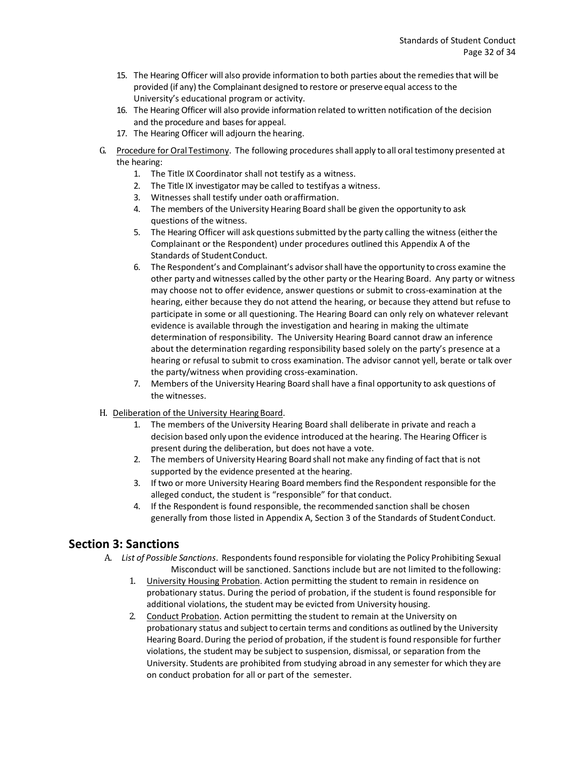- 15. The Hearing Officer will also provide information to both parties about the remediesthat will be provided (if any) the Complainant designed to restore or preserve equal accessto the University's educational program or activity.
- 16. The Hearing Officer will also provide information related to written notification of the decision and the procedure and bases for appeal.
- 17. The Hearing Officer will adjourn the hearing.
- G. Procedure for Oral Testimony. The following proceduresshall apply to all oral testimony presented at the hearing:
	- 1. The Title IX Coordinator shall not testify as a witness.
	- 2. The Title IX investigator may be called to testifyas a witness.
	- 3. Witnesses shall testify under oath oraffirmation.
	- 4. The members of the University Hearing Board shall be given the opportunity to ask questions of the witness.
	- 5. The Hearing Officer will ask questions submitted by the party calling the witness (either the Complainant or the Respondent) under procedures outlined this Appendix A of the Standards of StudentConduct.
	- 6. The Respondent's and Complainant's advisorshall have the opportunity to cross examine the other party and witnesses called by the other party or the Hearing Board. Any party or witness may choose not to offer evidence, answer questions or submit to cross-examination at the hearing, either because they do not attend the hearing, or because they attend but refuse to participate in some or all questioning. The Hearing Board can only rely on whatever relevant evidence is available through the investigation and hearing in making the ultimate determination of responsibility. The University Hearing Board cannot draw an inference about the determination regarding responsibility based solely on the party's presence at a hearing or refusal to submit to cross examination. The advisor cannot yell, berate or talk over the party/witness when providing cross-examination.
	- 7. Members of the University Hearing Board shall have a final opportunity to ask questions of the witnesses.
- H. Deliberation of the University Hearing Board.
	- 1. The members of the University Hearing Board shall deliberate in private and reach a decision based only upon the evidence introduced at the hearing. The Hearing Officer is present during the deliberation, but does not have a vote.
	- 2. The members of University Hearing Board shall not make any finding of fact that is not supported by the evidence presented at the hearing.
	- 3. If two or more University Hearing Board members find the Respondent responsible for the alleged conduct, the student is "responsible" for that conduct.
	- 4. If the Respondent is found responsible, the recommended sanction shall be chosen generally from those listed in Appendix A, Section 3 of the Standards of StudentConduct.

## **Section 3: Sanctions**

- A. *List of Possible Sanctions*. Respondentsfound responsible for violating the Policy Prohibiting Sexual Misconduct will be sanctioned. Sanctions include but are not limited to thefollowing:
	- 1. University Housing Probation. Action permitting the student to remain in residence on probationary status. During the period of probation, if the student is found responsible for additional violations, the student may be evicted from University housing.
	- 2. Conduct Probation. Action permitting the student to remain at the University on probationary status and subject to certain terms and conditions as outlined by the University Hearing Board. During the period of probation, if the student is found responsible for further violations, the student may be subject to suspension, dismissal, or separation from the University. Students are prohibited from studying abroad in any semester for which they are on conduct probation for all or part of the semester.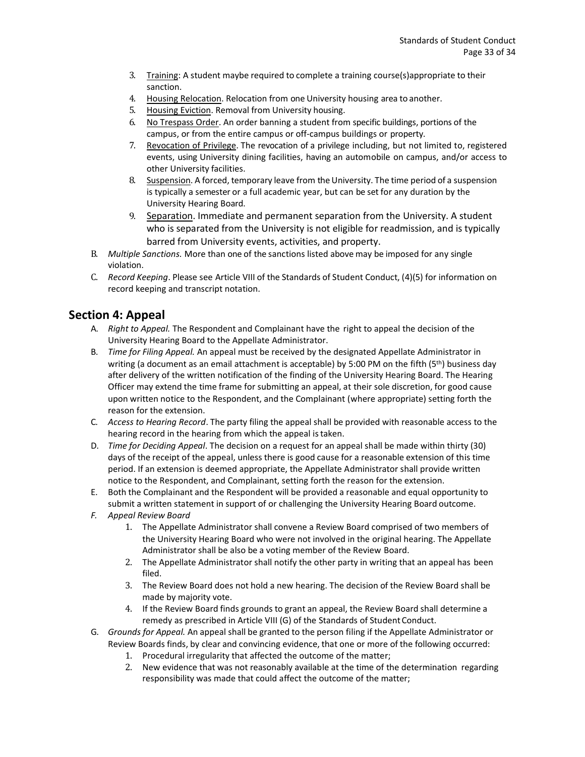- 3. Training: A student maybe required to complete a training course(s)appropriate to their sanction.
- 4. Housing Relocation. Relocation from one University housing area to another.
- 5. Housing Eviction. Removal from University housing.
- 6. No Trespass Order. An order banning a student from specific buildings, portions of the campus, or from the entire campus or off-campus buildings or property.
- 7. Revocation of Privilege. The revocation of a privilege including, but not limited to, registered events, using University dining facilities, having an automobile on campus, and/or access to other University facilities.
- 8. Suspension. A forced, temporary leave from the University. The time period of a suspension is typically a semester or a full academic year, but can be set for any duration by the University Hearing Board.
- 9. Separation. Immediate and permanent separation from the University. A student who is separated from the University is not eligible for readmission, and is typically barred from University events, activities, and property.
- B. *Multiple Sanctions.* More than one of the sanctions listed above may be imposed for any single violation.
- C. *Record Keeping*. Please see Article VIII of the Standards of Student Conduct, (4)(5) for information on record keeping and transcript notation.

## **Section 4: Appeal**

- A. *Right to Appeal.* The Respondent and Complainant have the right to appeal the decision of the University Hearing Board to the Appellate Administrator.
- B. *Time for Filing Appeal.* An appeal must be received by the designated Appellate Administrator in writing (a document as an email attachment is acceptable) by 5:00 PM on the fifth (5<sup>th</sup>) business day after delivery of the written notification of the finding of the University Hearing Board. The Hearing Officer may extend the time frame for submitting an appeal, at their sole discretion, for good cause upon written notice to the Respondent, and the Complainant (where appropriate) setting forth the reason for the extension.
- C. *Access to Hearing Record*. The party filing the appeal shall be provided with reasonable access to the hearing record in the hearing from which the appeal istaken.
- D. *Time for Deciding Appeal*. The decision on a request for an appeal shall be made within thirty (30) days of the receipt of the appeal, unless there is good cause for a reasonable extension of this time period. If an extension is deemed appropriate, the Appellate Administrator shall provide written notice to the Respondent, and Complainant, setting forth the reason for the extension.
- E. Both the Complainant and the Respondent will be provided a reasonable and equal opportunity to submit a written statement in support of or challenging the University Hearing Board outcome.
- *F. Appeal Review Board*
	- 1. The Appellate Administrator shall convene a Review Board comprised of two members of the University Hearing Board who were not involved in the original hearing. The Appellate Administrator shall be also be a voting member of the Review Board.
	- 2. The Appellate Administrator shall notify the other party in writing that an appeal has been filed.
	- 3. The Review Board does not hold a new hearing. The decision of the Review Board shall be made by majority vote.
	- 4. If the Review Board finds grounds to grant an appeal, the Review Board shall determine a remedy as prescribed in Article VIII (G) of the Standards of Student Conduct.
- G. *Grounds for Appeal.* An appeal shall be granted to the person filing if the Appellate Administrator or Review Boards finds, by clear and convincing evidence, that one or more of the following occurred:
	- 1. Procedural irregularity that affected the outcome of the matter;
	- 2. New evidence that was not reasonably available at the time of the determination regarding responsibility was made that could affect the outcome of the matter;